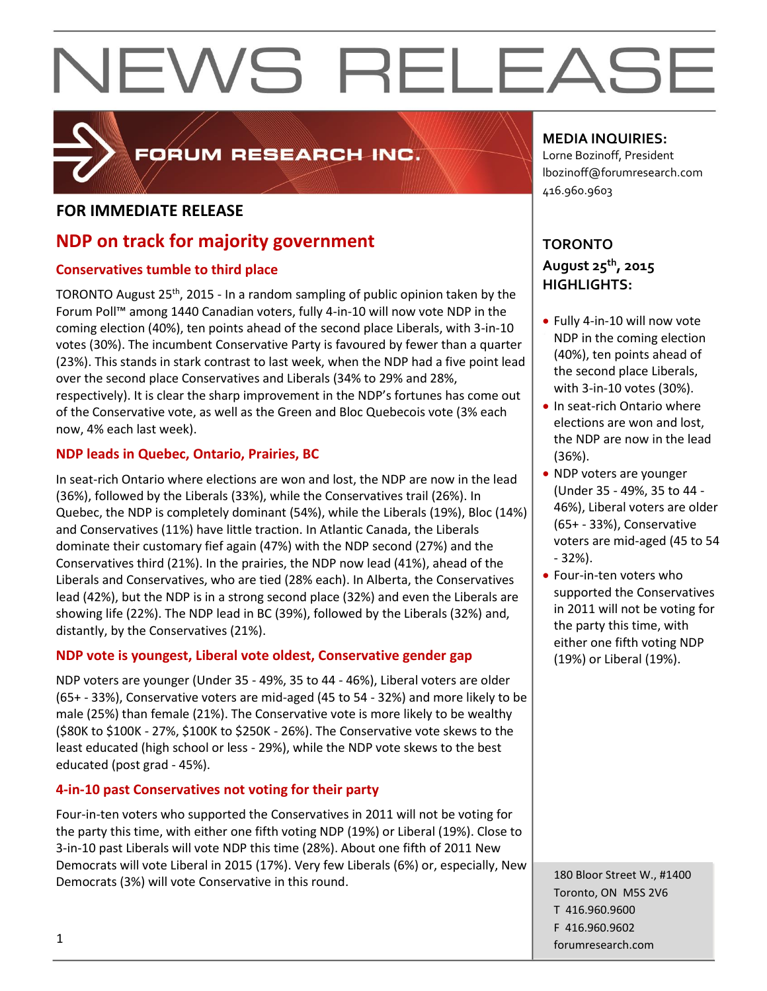

### FORUM RESEARCH INC.

#### **FOR IMMEDIATE RELEASE**

### **NDP on track for majority government**

#### **Conservatives tumble to third place**

TORONTO August 25<sup>th</sup>, 2015 - In a random sampling of public opinion taken by the Forum Poll™ among 1440 Canadian voters, fully 4-in-10 will now vote NDP in the coming election (40%), ten points ahead of the second place Liberals, with 3-in-10 votes (30%). The incumbent Conservative Party is favoured by fewer than a quarter (23%). This stands in stark contrast to last week, when the NDP had a five point lead over the second place Conservatives and Liberals (34% to 29% and 28%, respectively). It is clear the sharp improvement in the NDP's fortunes has come out of the Conservative vote, as well as the Green and Bloc Quebecois vote (3% each now, 4% each last week).

#### **NDP leads in Quebec, Ontario, Prairies, BC**

In seat-rich Ontario where elections are won and lost, the NDP are now in the lead (36%), followed by the Liberals (33%), while the Conservatives trail (26%). In Quebec, the NDP is completely dominant (54%), while the Liberals (19%), Bloc (14%) and Conservatives (11%) have little traction. In Atlantic Canada, the Liberals dominate their customary fief again (47%) with the NDP second (27%) and the Conservatives third (21%). In the prairies, the NDP now lead (41%), ahead of the Liberals and Conservatives, who are tied (28% each). In Alberta, the Conservatives lead (42%), but the NDP is in a strong second place (32%) and even the Liberals are showing life (22%). The NDP lead in BC (39%), followed by the Liberals (32%) and, distantly, by the Conservatives (21%).

#### **NDP vote is youngest, Liberal vote oldest, Conservative gender gap**

NDP voters are younger (Under 35 - 49%, 35 to 44 - 46%), Liberal voters are older (65+ - 33%), Conservative voters are mid-aged (45 to 54 - 32%) and more likely to be male (25%) than female (21%). The Conservative vote is more likely to be wealthy (\$80K to \$100K - 27%, \$100K to \$250K - 26%). The Conservative vote skews to the least educated (high school or less - 29%), while the NDP vote skews to the best educated (post grad - 45%).

#### **4-in-10 past Conservatives not voting for their party**

Four-in-ten voters who supported the Conservatives in 2011 will not be voting for the party this time, with either one fifth voting NDP (19%) or Liberal (19%). Close to 3-in-10 past Liberals will vote NDP this time (28%). About one fifth of 2011 New Democrats will vote Liberal in 2015 (17%). Very few Liberals (6%) or, especially, New Democrats (3%) will vote Conservative in this round.

#### **MEDIA INQUIRIES:**

Lorne Bozinoff, President lbozinoff@forumresearch.com 416.960.9603

#### **TORONTO August 25th, 2015 HIGHLIGHTS:**

- Fully 4-in-10 will now vote NDP in the coming election (40%), ten points ahead of the second place Liberals, with 3-in-10 votes (30%).
- In seat-rich Ontario where elections are won and lost, the NDP are now in the lead (36%).
- NDP voters are younger (Under 35 - 49%, 35 to 44 - 46%), Liberal voters are older (65+ - 33%), Conservative voters are mid-aged (45 to 54 - 32%).
- Four-in-ten voters who supported the Conservatives in 2011 will not be voting for the party this time, with either one fifth voting NDP (19%) or Liberal (19%).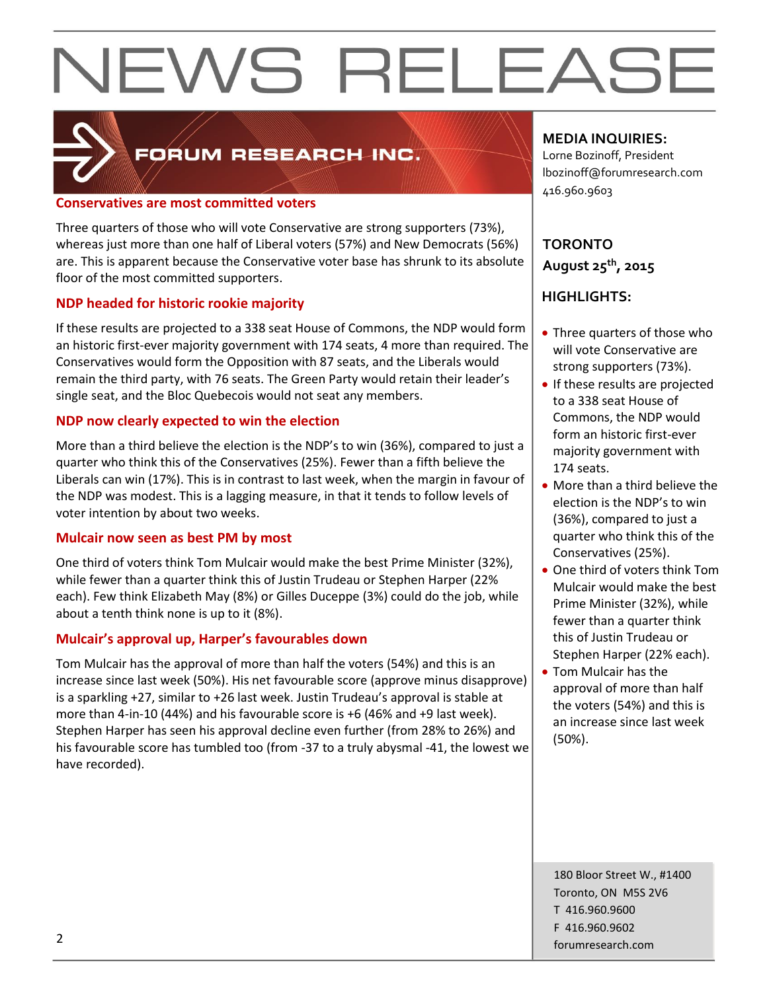

### FORUM RESEARCH INC.

#### **Conservatives are most committed voters**

Three quarters of those who will vote Conservative are strong supporters (73%), whereas just more than one half of Liberal voters (57%) and New Democrats (56%) are. This is apparent because the Conservative voter base has shrunk to its absolute floor of the most committed supporters.

#### **NDP headed for historic rookie majority**

If these results are projected to a 338 seat House of Commons, the NDP would form an historic first-ever majority government with 174 seats, 4 more than required. The Conservatives would form the Opposition with 87 seats, and the Liberals would remain the third party, with 76 seats. The Green Party would retain their leader's single seat, and the Bloc Quebecois would not seat any members.

#### **NDP now clearly expected to win the election**

More than a third believe the election is the NDP's to win (36%), compared to just a quarter who think this of the Conservatives (25%). Fewer than a fifth believe the Liberals can win (17%). This is in contrast to last week, when the margin in favour of the NDP was modest. This is a lagging measure, in that it tends to follow levels of voter intention by about two weeks.

#### **Mulcair now seen as best PM by most**

One third of voters think Tom Mulcair would make the best Prime Minister (32%), while fewer than a quarter think this of Justin Trudeau or Stephen Harper (22% each). Few think Elizabeth May (8%) or Gilles Duceppe (3%) could do the job, while about a tenth think none is up to it (8%).

#### **Mulcair's approval up, Harper's favourables down**

Tom Mulcair has the approval of more than half the voters (54%) and this is an increase since last week (50%). His net favourable score (approve minus disapprove) is a sparkling +27, similar to +26 last week. Justin Trudeau's approval is stable at more than 4-in-10 (44%) and his favourable score is +6 (46% and +9 last week). Stephen Harper has seen his approval decline even further (from 28% to 26%) and his favourable score has tumbled too (from -37 to a truly abysmal -41, the lowest we have recorded).

#### **MEDIA INQUIRIES:**

Lorne Bozinoff, President lbozinoff@forumresearch.com 416.960.9603

#### **TORONTO August 25th, 2015**

#### **HIGHLIGHTS:**

- Three quarters of those who will vote Conservative are strong supporters (73%).
- If these results are projected to a 338 seat House of Commons, the NDP would form an historic first-ever majority government with 174 seats.
- More than a third believe the election is the NDP's to win (36%), compared to just a quarter who think this of the Conservatives (25%).
- One third of voters think Tom Mulcair would make the best Prime Minister (32%), while fewer than a quarter think this of Justin Trudeau or Stephen Harper (22% each).
- Tom Mulcair has the approval of more than half the voters (54%) and this is an increase since last week (50%).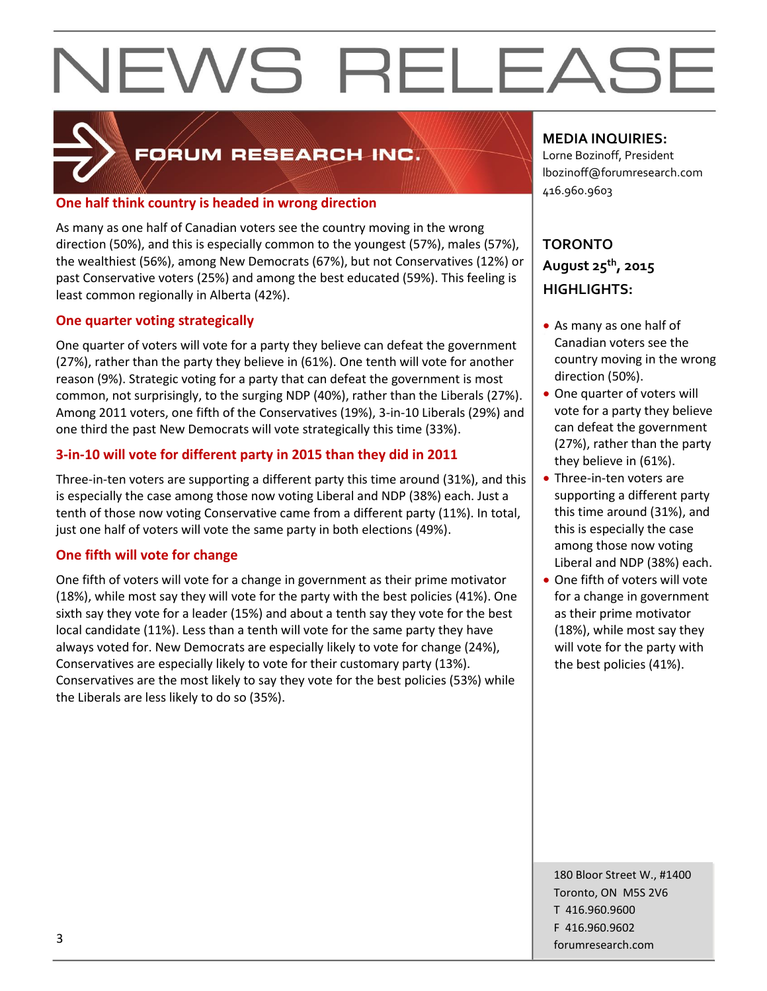

### FORUM RESEARCH INC.

#### **One half think country is headed in wrong direction**

As many as one half of Canadian voters see the country moving in the wrong direction (50%), and this is especially common to the youngest (57%), males (57%), the wealthiest (56%), among New Democrats (67%), but not Conservatives (12%) or past Conservative voters (25%) and among the best educated (59%). This feeling is least common regionally in Alberta (42%).

#### **One quarter voting strategically**

One quarter of voters will vote for a party they believe can defeat the government (27%), rather than the party they believe in (61%). One tenth will vote for another reason (9%). Strategic voting for a party that can defeat the government is most common, not surprisingly, to the surging NDP (40%), rather than the Liberals (27%). Among 2011 voters, one fifth of the Conservatives (19%), 3-in-10 Liberals (29%) and one third the past New Democrats will vote strategically this time (33%).

#### **3-in-10 will vote for different party in 2015 than they did in 2011**

Three-in-ten voters are supporting a different party this time around (31%), and this is especially the case among those now voting Liberal and NDP (38%) each. Just a tenth of those now voting Conservative came from a different party (11%). In total, just one half of voters will vote the same party in both elections (49%).

#### **One fifth will vote for change**

One fifth of voters will vote for a change in government as their prime motivator (18%), while most say they will vote for the party with the best policies (41%). One sixth say they vote for a leader (15%) and about a tenth say they vote for the best local candidate (11%). Less than a tenth will vote for the same party they have always voted for. New Democrats are especially likely to vote for change (24%), Conservatives are especially likely to vote for their customary party (13%). Conservatives are the most likely to say they vote for the best policies (53%) while the Liberals are less likely to do so (35%).

#### **MEDIA INQUIRIES:**

Lorne Bozinoff, President lbozinoff@forumresearch.com 416.960.9603

#### **TORONTO August 25th, 2015 HIGHLIGHTS:**

- As many as one half of Canadian voters see the country moving in the wrong direction (50%).
- One quarter of voters will vote for a party they believe can defeat the government (27%), rather than the party they believe in (61%).
- Three-in-ten voters are supporting a different party this time around (31%), and this is especially the case among those now voting Liberal and NDP (38%) each.
- One fifth of voters will vote for a change in government as their prime motivator (18%), while most say they will vote for the party with the best policies (41%).

180 Bloor Street W., #1400 Toronto, ON M5S 2V6 T 416.960.9600 F 416.960.9602 forumresearch.com and the set of the set of the set of the set of the set of the set of the set of the set of the set of the set of the set of the set of the set of the set of the set of the set of the set of the set of th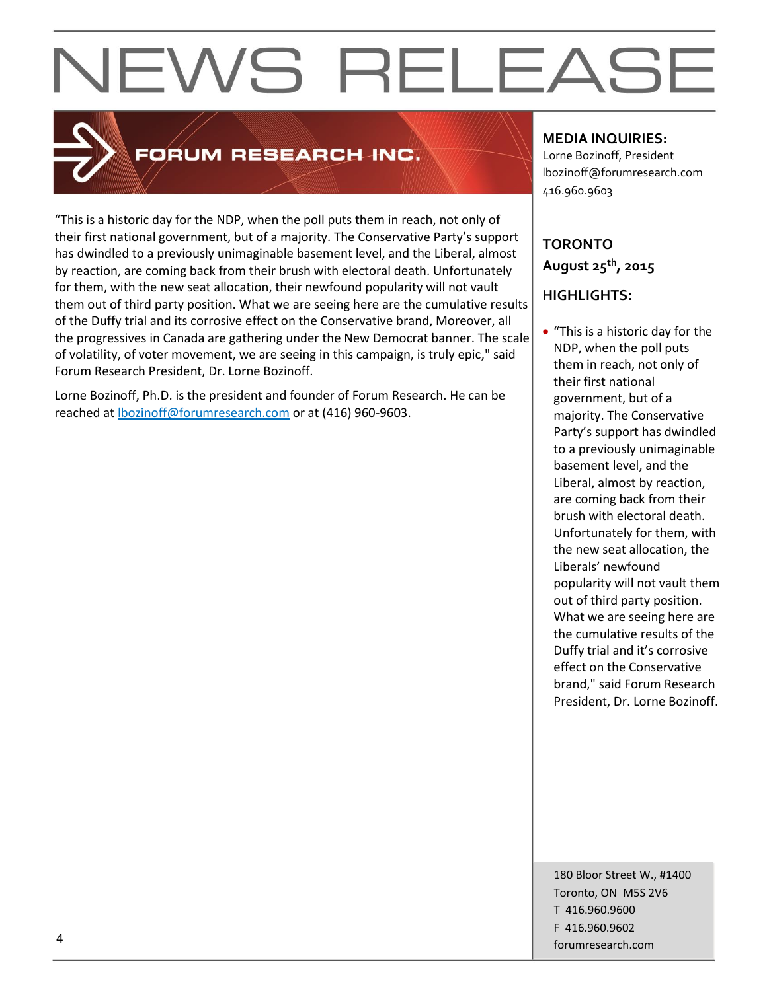

### FORUM RESEARCH INC.

"This is a historic day for the NDP, when the poll puts them in reach, not only of their first national government, but of a majority. The Conservative Party's support has dwindled to a previously unimaginable basement level, and the Liberal, almost by reaction, are coming back from their brush with electoral death. Unfortunately for them, with the new seat allocation, their newfound popularity will not vault them out of third party position. What we are seeing here are the cumulative results of the Duffy trial and its corrosive effect on the Conservative brand, Moreover, all the progressives in Canada are gathering under the New Democrat banner. The scale of volatility, of voter movement, we are seeing in this campaign, is truly epic," said Forum Research President, Dr. Lorne Bozinoff.

Lorne Bozinoff, Ph.D. is the president and founder of Forum Research. He can be reached at [lbozinoff@forumresearch.com](mailto:lbozinoff@forumresearch.com) or at (416) 960-9603.

#### **MEDIA INQUIRIES:**

Lorne Bozinoff, President lbozinoff@forumresearch.com 416.960.9603

#### **TORONTO August 25th, 2015**

#### **HIGHLIGHTS:**

• "This is a historic day for the NDP, when the poll puts them in reach, not only of their first national government, but of a majority. The Conservative Party's support has dwindled to a previously unimaginable basement level, and the Liberal, almost by reaction, are coming back from their brush with electoral death. Unfortunately for them, with the new seat allocation, the Liberals' newfound popularity will not vault them out of third party position. What we are seeing here are the cumulative results of the Duffy trial and it's corrosive effect on the Conservative brand," said Forum Research President, Dr. Lorne Bozinoff.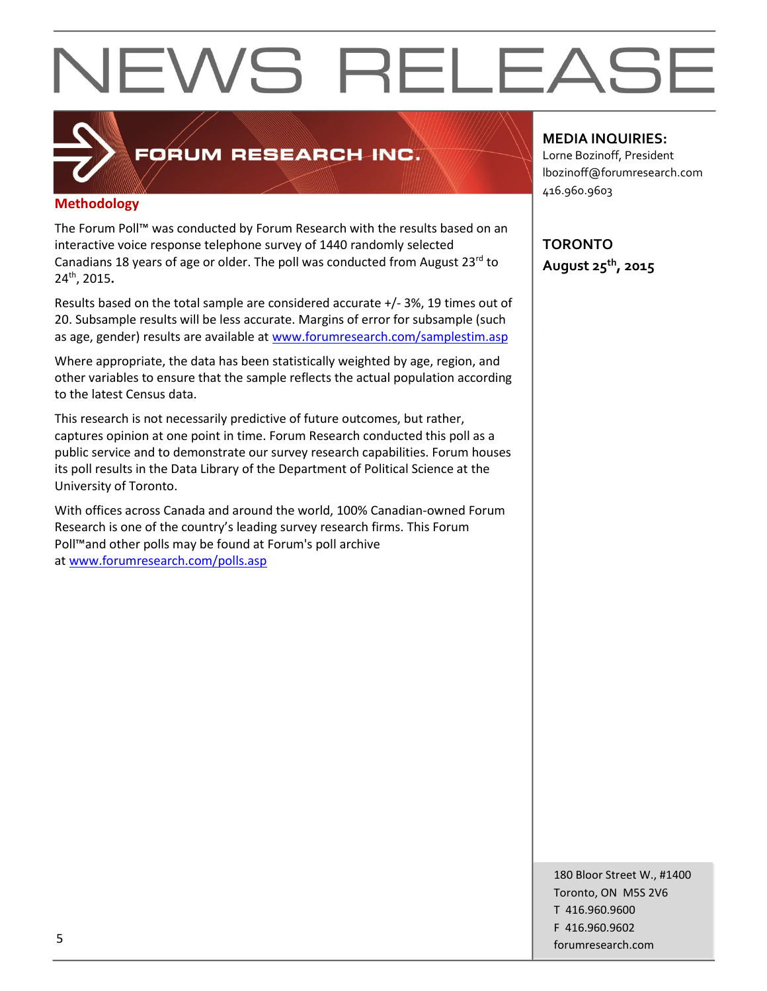### **Methodology**

The Forum Poll™ was conducted by Forum Research with the results based on an interactive voice response telephone survey of 1440 randomly selected Canadians 18 years of age or older. The poll was conducted from August 23<sup>rd</sup> to 24th, 2015**.**

FORUM RESEARCH INC.

Results based on the total sample are considered accurate +/- 3%, 19 times out of 20. Subsample results will be less accurate. Margins of error for subsample (such as age, gender) results are available at [www.forumresearch.com/samplestim.asp](http://www.forumresearch.com/samplestim.asp)

Where appropriate, the data has been statistically weighted by age, region, and other variables to ensure that the sample reflects the actual population according to the latest Census data.

This research is not necessarily predictive of future outcomes, but rather, captures opinion at one point in time. Forum Research conducted this poll as a public service and to demonstrate our survey research capabilities. Forum houses its poll results in the Data Library of the Department of Political Science at the University of Toronto.

With offices across Canada and around the world, 100% Canadian-owned Forum Research is one of the country's leading survey research firms. This Forum Poll™and other polls may be found at Forum's poll archive at [www.forumresearch.com/polls.asp](http://www.forumresearch.com/polls.asp)

#### **MEDIA INQUIRIES:**

Lorne Bozinoff, President lbozinoff@forumresearch.com 416.960.9603

**TORONTO August 25th, 2015**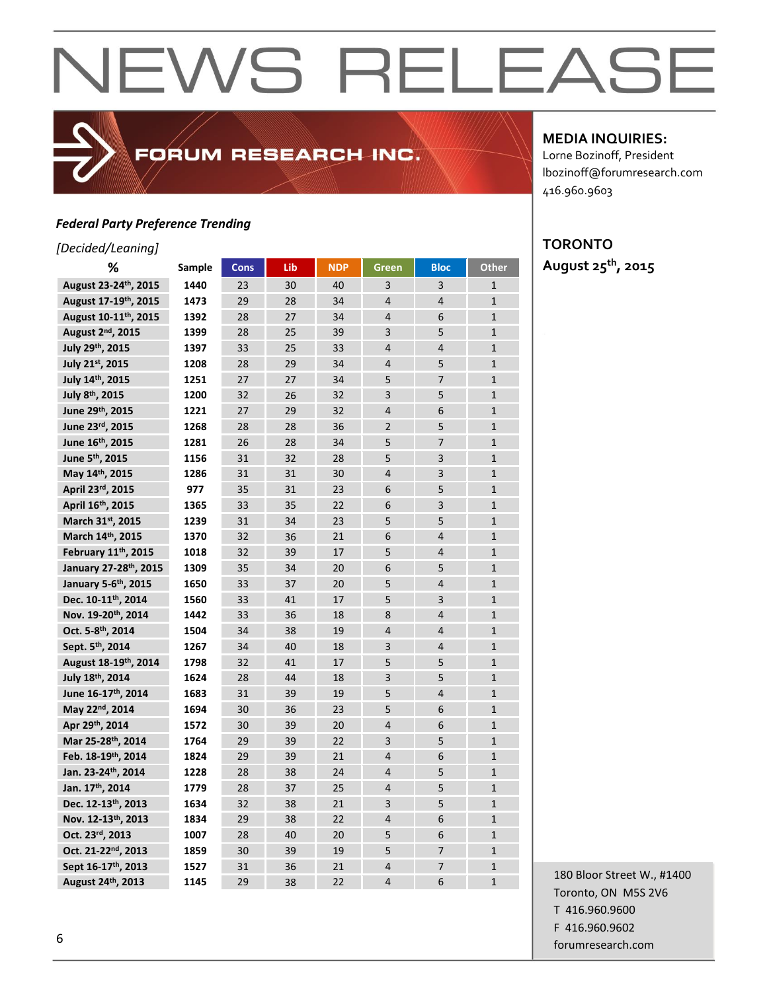#### *Federal Party Preference Trending*

#### *[Decided/Leaning]*

| %                                  | Sample | <b>Cons</b> | Lib | <b>NDP</b> | <b>Green</b>   | <b>Bloc</b>    | Other          |
|------------------------------------|--------|-------------|-----|------------|----------------|----------------|----------------|
| August 23-24th, 2015               | 1440   | 23          | 30  | 40         | 3              | 3              | $\mathbf{1}$   |
| August 17-19th, 2015               | 1473   | 29          | 28  | 34         | $\overline{4}$ | $\overline{4}$ | $\overline{1}$ |
| August 10-11th, 2015               | 1392   | 28          | 27  | 34         | $\overline{4}$ | 6              | $\mathbf{1}$   |
| August 2 <sup>nd</sup> , 2015      | 1399   | 28          | 25  | 39         | 3              | 5              | $\mathbf{1}$   |
| July 29th, 2015                    | 1397   | 33          | 25  | 33         | $\overline{4}$ | $\overline{4}$ | $\mathbf{1}$   |
| July 21st, 2015                    | 1208   | 28          | 29  | 34         | $\overline{4}$ | 5              | $\mathbf{1}$   |
| July 14th, 2015                    | 1251   | 27          | 27  | 34         | 5              | 7              | $\mathbf{1}$   |
| July 8th, 2015                     | 1200   | 32          | 26  | 32         | 3              | 5              | $\mathbf{1}$   |
| June 29th, 2015                    | 1221   | 27          | 29  | 32         | $\overline{4}$ | 6              | $\mathbf{1}$   |
| June 23rd, 2015                    | 1268   | 28          | 28  | 36         | $\overline{2}$ | 5              | $\mathbf{1}$   |
| June 16th, 2015                    | 1281   | 26          | 28  | 34         | 5              | $\overline{7}$ | $\mathbf{1}$   |
| June 5 <sup>th</sup> , 2015        | 1156   | 31          | 32  | 28         | 5              | 3              | $\mathbf{1}$   |
| May 14th, 2015                     | 1286   | 31          | 31  | 30         | $\overline{4}$ | $\overline{3}$ | $\mathbf{1}$   |
| April 23rd, 2015                   | 977    | 35          | 31  | 23         | 6              | 5              | $\mathbf{1}$   |
| April 16th, 2015                   | 1365   | 33          | 35  | 22         | 6              | 3              | $\mathbf{1}$   |
| March 31st, 2015                   | 1239   | 31          | 34  | 23         | 5              | 5              | $\overline{1}$ |
| March 14th, 2015                   | 1370   | 32          | 36  | 21         | 6              | $\overline{4}$ | $\mathbf{1}$   |
| February 11th, 2015                | 1018   | 32          | 39  | 17         | 5              | $\overline{4}$ | $\mathbf{1}$   |
| January 27-28 <sup>th</sup> , 2015 | 1309   | 35          | 34  | 20         | 6              | 5              | $\mathbf{1}$   |
| January 5-6th, 2015                | 1650   | 33          | 37  | 20         | 5              | $\overline{4}$ | $\mathbf{1}$   |
| Dec. 10-11th, 2014                 | 1560   | 33          | 41  | 17         | 5              | 3              | $\mathbf{1}$   |
| Nov. 19-20th, 2014                 | 1442   | 33          | 36  | 18         | 8              | $\overline{4}$ | $\mathbf{1}$   |
| Oct. 5-8th, 2014                   | 1504   | 34          | 38  | 19         | $\overline{4}$ | $\overline{4}$ | $\mathbf{1}$   |
| Sept. 5 <sup>th</sup> . 2014       | 1267   | 34          | 40  | 18         | 3              | $\overline{4}$ | $\mathbf{1}$   |
| August 18-19th, 2014               | 1798   | 32          | 41  | 17         | 5              | 5              | $\mathbf{1}$   |
| July 18th, 2014                    | 1624   | 28          | 44  | 18         | 3              | 5              | $\mathbf{1}$   |
| June 16-17th, 2014                 | 1683   | 31          | 39  | 19         | 5              | $\overline{4}$ | $\mathbf{1}$   |
| May 22nd, 2014                     | 1694   | 30          | 36  | 23         | 5              | 6              | $\mathbf{1}$   |
| Apr 29th, 2014                     | 1572   | 30          | 39  | 20         | $\overline{4}$ | 6              | $\mathbf{1}$   |
| Mar 25-28th, 2014                  | 1764   | 29          | 39  | 22         | 3              | 5              | $\overline{1}$ |
| Feb. 18-19th, 2014                 | 1824   | 29          | 39  | 21         | $\overline{4}$ | 6              | $\mathbf{1}$   |
| Jan. 23-24th, 2014                 | 1228   | 28          | 38  | 24         | $\overline{4}$ | 5              | $\mathbf{1}$   |
| Jan. 17th, 2014                    | 1779   | 28          | 37  | 25         | $\overline{4}$ | 5              | $\overline{1}$ |
| Dec. 12-13th, 2013                 | 1634   | 32          | 38  | 21         | 3              | 5              | $\mathbf{1}$   |
| Nov. 12-13th, 2013                 | 1834   | 29          | 38  | 22         | $\overline{4}$ | 6              | $\mathbf{1}$   |
| Oct. 23rd, 2013                    | 1007   | 28          | 40  | 20         | 5              | 6              | $\mathbf{1}$   |
| Oct. 21-22 <sup>nd</sup> . 2013    | 1859   | 30          | 39  | 19         | 5              | $\overline{7}$ | $\mathbf{1}$   |
| Sept 16-17th, 2013                 | 1527   | 31          | 36  | 21         | $\overline{4}$ | $\overline{7}$ | $\mathbf{1}$   |
| August 24th, 2013                  | 1145   | 29          | 38  | 22         | $\overline{4}$ | 6              | $\mathbf{1}$   |

FORUM RESEARCH INC.

#### **MEDIA INQUIRIES:**

Lorne Bozinoff, President lbozinoff@forumresearch.com 416.960.9603

### **TORONTO**

**August 25th, 2015**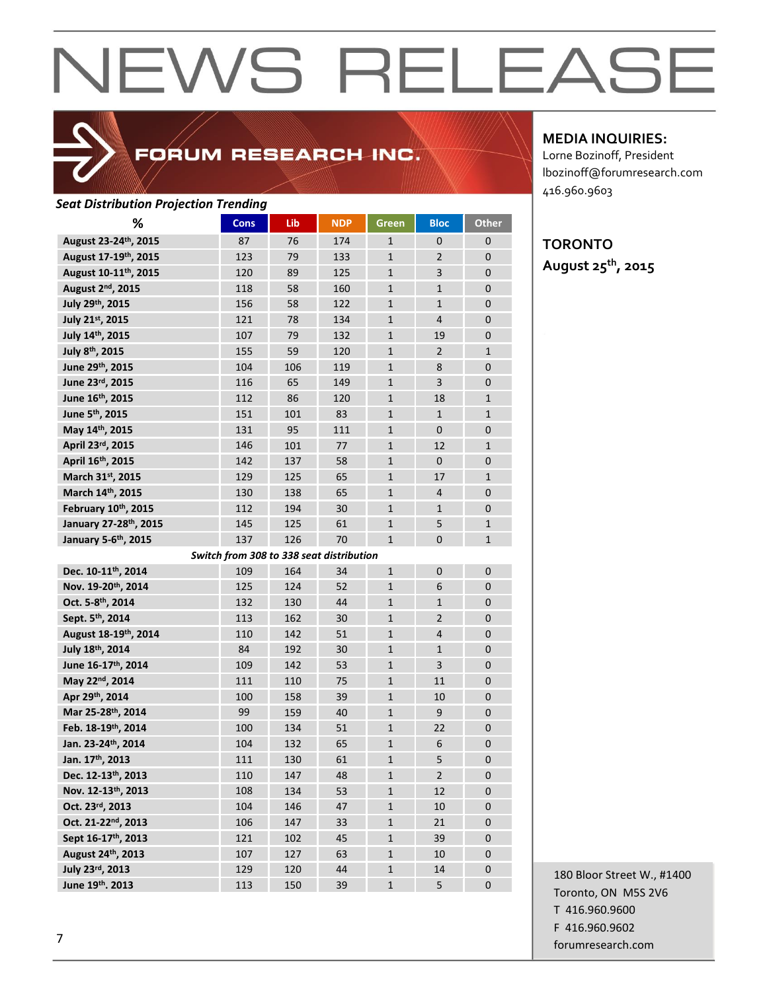

### FORUM RESEARCH INC.

#### *Seat Distribution Projection Trending*

| %                                 | <b>Cons</b> | Lib | <b>NDP</b>                               | <b>Green</b> | <b>Bloc</b>    | <b>Other</b> |
|-----------------------------------|-------------|-----|------------------------------------------|--------------|----------------|--------------|
| August 23-24th, 2015              | 87          | 76  | 174                                      | $\mathbf{1}$ | 0              | 0            |
| August 17-19th, 2015              | 123         | 79  | 133                                      | $\mathbf{1}$ | $\overline{2}$ | 0            |
| August 10-11 <sup>th</sup> , 2015 | 120         | 89  | 125                                      | $\mathbf{1}$ | 3              | 0            |
| August 2 <sup>nd</sup> , 2015     | 118         | 58  | 160                                      | $\mathbf{1}$ | $\mathbf{1}$   | 0            |
| July 29th, 2015                   | 156         | 58  | 122                                      | $\mathbf{1}$ | $\mathbf{1}$   | 0            |
| July 21st, 2015                   | 121         | 78  | 134                                      | $\mathbf{1}$ | $\overline{4}$ | 0            |
| July 14th, 2015                   | 107         | 79  | 132                                      | $\mathbf{1}$ | 19             | 0            |
| July 8th, 2015                    | 155         | 59  | 120                                      | $\mathbf{1}$ | $\overline{2}$ | $\mathbf{1}$ |
| June 29th, 2015                   | 104         | 106 | 119                                      | $\mathbf{1}$ | 8              | 0            |
| June 23rd, 2015                   | 116         | 65  | 149                                      | $\mathbf{1}$ | 3              | 0            |
| June 16th, 2015                   | 112         | 86  | 120                                      | $\mathbf{1}$ | 18             | $\mathbf{1}$ |
| June 5 <sup>th</sup> , 2015       | 151         | 101 | 83                                       | $\mathbf{1}$ | $\mathbf{1}$   | $\mathbf{1}$ |
| May 14th, 2015                    | 131         | 95  | 111                                      | $\mathbf{1}$ | 0              | 0            |
| April 23rd, 2015                  | 146         | 101 | 77                                       | $\mathbf{1}$ | 12             | $\mathbf{1}$ |
| April 16th, 2015                  | 142         | 137 | 58                                       | $\mathbf{1}$ | 0              | 0            |
| March 31st, 2015                  | 129         | 125 | 65                                       | $\mathbf{1}$ | 17             | $\mathbf{1}$ |
| March 14th, 2015                  | 130         | 138 | 65                                       | $\mathbf{1}$ | 4              | 0            |
| February 10th, 2015               | 112         | 194 | 30                                       | $\mathbf{1}$ | $\mathbf{1}$   | 0            |
| January 27-28th, 2015             | 145         | 125 | 61                                       | $\mathbf{1}$ | 5              | $\mathbf{1}$ |
| January 5-6th, 2015               | 137         | 126 | 70                                       | $\mathbf{1}$ | $\Omega$       | $\mathbf{1}$ |
|                                   |             |     | Switch from 308 to 338 seat distribution |              |                |              |
| Dec. 10-11 <sup>th</sup> , 2014   | 109         | 164 | 34                                       | $\mathbf{1}$ | $\mathbf{0}$   | $\mathbf 0$  |
| Nov. 19-20th, 2014                | 125         | 124 | 52                                       | $\mathbf{1}$ | 6              | 0            |
| Oct. 5-8th, 2014                  | 132         | 130 | 44                                       | $\mathbf{1}$ | $\mathbf{1}$   | 0            |
| Sept. 5th, 2014                   | 113         | 162 | 30                                       | $\mathbf{1}$ | $\overline{2}$ | 0            |
| August 18-19th, 2014              | 110         | 142 | 51                                       | $\mathbf{1}$ | 4              | 0            |
| July 18th, 2014                   | 84          | 192 | 30                                       | $\mathbf{1}$ | $\mathbf{1}$   | 0            |
| June 16-17th, 2014                | 109         | 142 | 53                                       | $\mathbf{1}$ | 3              | 0            |
| May 22nd, 2014                    | 111         | 110 | 75                                       | $\mathbf{1}$ | 11             | 0            |
| Apr 29th, 2014                    | 100         | 158 | 39                                       | $\mathbf{1}$ | 10             | 0            |
| Mar 25-28th, 2014                 | 99          | 159 | 40                                       | $\mathbf{1}$ | 9              | 0            |
| Feb. 18-19th, 2014                | 100         | 134 | 51                                       | $\mathbf{1}$ | 22             | 0            |
| Jan. 23-24th, 2014                | 104         | 132 | 65                                       | $\mathbf{1}$ | 6              | 0            |
| Jan. 17th, 2013                   | 111         | 130 | 61                                       | $\mathbf{1}$ | 5              | 0            |
| Dec. 12-13th, 2013                | 110         | 147 | 48                                       | 1            | 2              | 0            |
| Nov. 12-13th, 2013                | 108         | 134 | 53                                       | $\mathbf{1}$ | 12             | 0            |
| Oct. 23rd, 2013                   | 104         | 146 | 47                                       | $\mathbf{1}$ | 10             | $\pmb{0}$    |
| Oct. 21-22 <sup>nd</sup> , 2013   | 106         | 147 | 33                                       | $\mathbf 1$  | 21             | $\mathbf 0$  |
| Sept 16-17th, 2013                | 121         | 102 | 45                                       | $\mathbf{1}$ | 39             | $\mathbf 0$  |
| August 24th, 2013                 | 107         | 127 | 63                                       | $\mathbf{1}$ | 10             | 0            |
| July 23rd, 2013                   | 129         | 120 | 44                                       | $\mathbf{1}$ | 14             | 0            |
| June 19th. 2013                   | 113         | 150 | 39                                       | $\mathbf 1$  | 5              | 0            |

**MEDIA INQUIRIES:**

Lorne Bozinoff, President lbozinoff@forumresearch.com 416.960.9603

#### **TORONTO August 25th, 2015**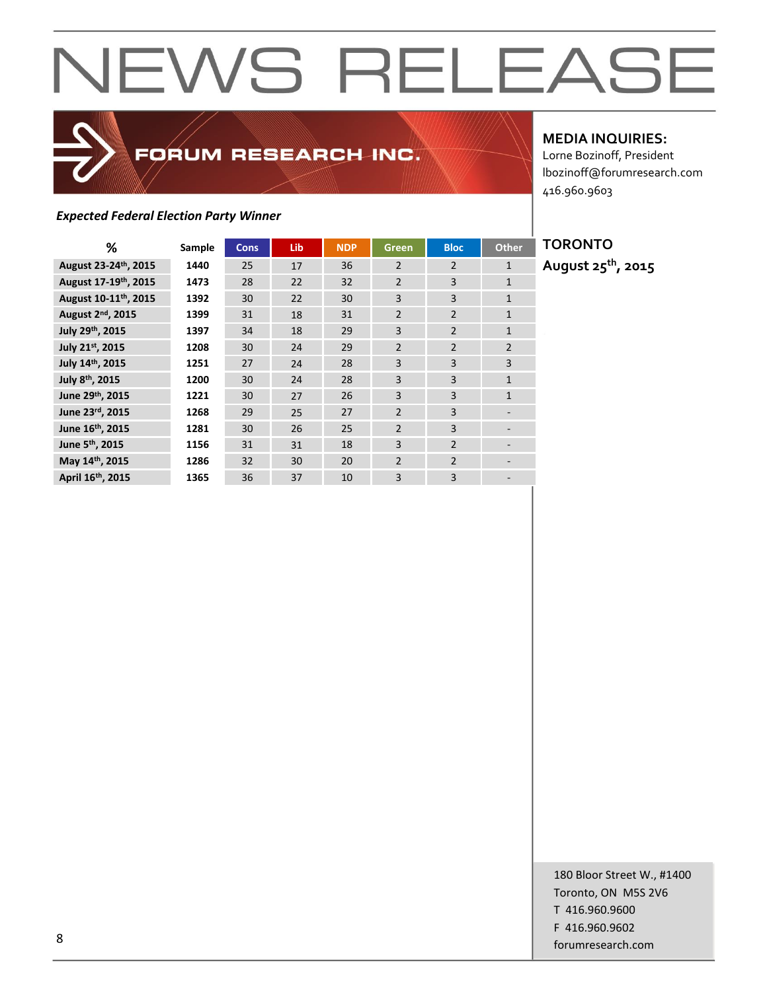### *Expected Federal Election Party Winner*

**MEDIA INQUIRIES:**

Lorne Bozinoff, President lbozinoff@forumresearch.com 416.960.9603

| %                                 | Sample | <b>Cons</b> | Lib | <b>NDP</b> | Green          | <b>Bloc</b>    | <b>Other</b>             |
|-----------------------------------|--------|-------------|-----|------------|----------------|----------------|--------------------------|
| August 23-24th, 2015              | 1440   | 25          | 17  | 36         | $\overline{2}$ | $\overline{2}$ | $\mathbf{1}$             |
| August 17-19th, 2015              | 1473   | 28          | 22  | 32         | $\overline{2}$ | 3              | $\mathbf{1}$             |
| August 10-11 <sup>th</sup> , 2015 | 1392   | 30          | 22  | 30         | $\overline{3}$ | 3              | $\mathbf{1}$             |
| August 2 <sup>nd</sup> , 2015     | 1399   | 31          | 18  | 31         | $\overline{2}$ | $\overline{2}$ | $\mathbf{1}$             |
| July 29th, 2015                   | 1397   | 34          | 18  | 29         | 3              | $\overline{2}$ | $\mathbf{1}$             |
| July 21st, 2015                   | 1208   | 30          | 24  | 29         | $\overline{2}$ | $\overline{2}$ | $\overline{2}$           |
| July 14th, 2015                   | 1251   | 27          | 24  | 28         | 3              | 3              | 3                        |
| July 8 <sup>th</sup> , 2015       | 1200   | 30          | 24  | 28         | 3              | 3              | $\mathbf{1}$             |
| June 29 <sup>th</sup> , 2015      | 1221   | 30          | 27  | 26         | 3              | 3              | $\mathbf{1}$             |
| June 23rd, 2015                   | 1268   | 29          | 25  | 27         | $\overline{2}$ | 3              |                          |
| June 16 <sup>th</sup> , 2015      | 1281   | 30          | 26  | 25         | $\overline{2}$ | 3              |                          |
| June 5 <sup>th</sup> , 2015       | 1156   | 31          | 31  | 18         | 3              | $\overline{2}$ | $\overline{\phantom{a}}$ |
| May 14th, 2015                    | 1286   | 32          | 30  | 20         | $\overline{2}$ | $\overline{2}$ |                          |
| April 16 <sup>th</sup> , 2015     | 1365   | 36          | 37  | 10         | 3              | 3              |                          |

FORUM RESEARCH INC.

**TORONTO August 25th, 2015**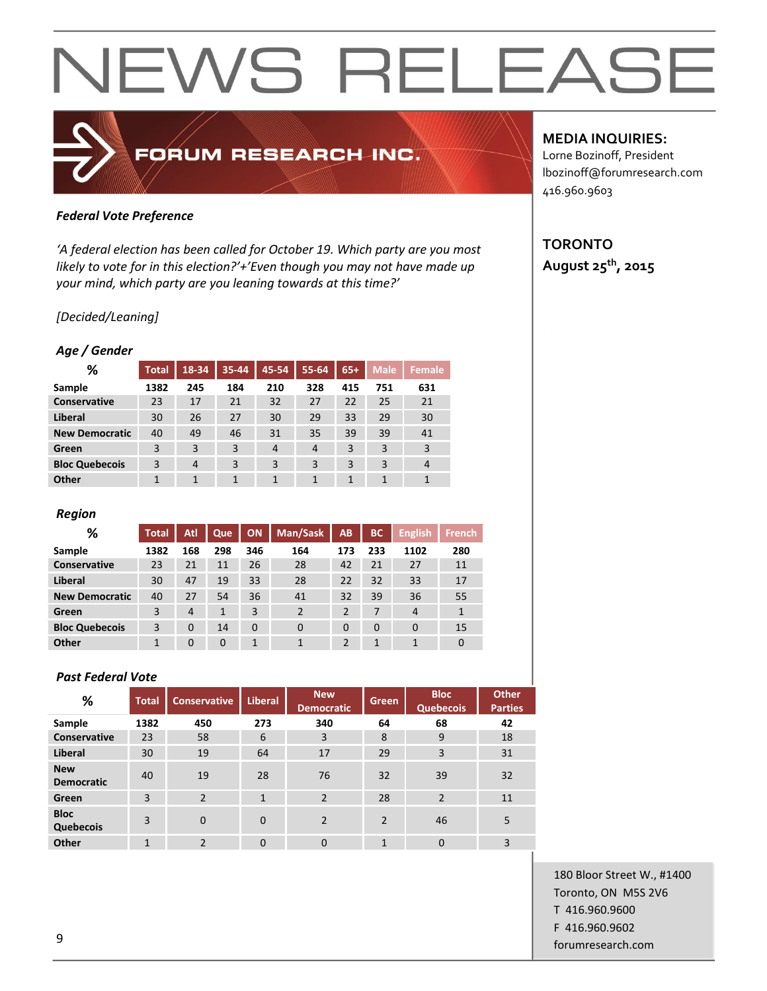### FORUM RESEARCH INC.

#### *Federal Vote Preference*

*'A federal election has been called for October 19. Which party are you most likely to vote for in this election?'+'Even though you may not have made up your mind, which party are you leaning towards at this time?'*

#### *[Decided/Leaning]*

#### *Age / Gender*

| %                     | <b>Total</b> | $18 - 34$      | 35-44 | 45-54          | 55-64          | $65+$ | <b>Male</b> | Female         |
|-----------------------|--------------|----------------|-------|----------------|----------------|-------|-------------|----------------|
| Sample                | 1382         | 245            | 184   | 210            | 328            | 415   | 751         | 631            |
| Conservative          | 23           | 17             | 21    | 32             | 27             | 22    | 25          | 21             |
| Liberal               | 30           | 26             | 27    | 30             | 29             | 33    | 29          | 30             |
| <b>New Democratic</b> | 40           | 49             | 46    | 31             | 35             | 39    | 39          | 41             |
| Green                 | 3            | 3              | 3     | $\overline{4}$ | $\overline{4}$ | 3     | 3           | 3              |
| <b>Bloc Quebecois</b> | 3            | $\overline{4}$ | 3     | 3              | 3              | 3     | 3           | $\overline{4}$ |
| Other                 |              | $\mathbf{1}$   | 1     | 1              | 1              | 1     | 1           | 1              |

#### *Region*

| %                     | <b>Total</b> | Atl            | Que          | <b>ON</b> | Man/Sask       | AB             | <b>BC</b> | <b>English</b> | French      |
|-----------------------|--------------|----------------|--------------|-----------|----------------|----------------|-----------|----------------|-------------|
| Sample                | 1382         | 168            | 298          | 346       | 164            | 173            | 233       | 1102           | 280         |
| Conservative          | 23           | 21             | 11           | 26        | 28             | 42             | 21        | 27             | 11          |
| Liberal               | 30           | 47             | 19           | 33        | 28             | 22             | 32        | 33             | 17          |
| <b>New Democratic</b> | 40           | 27             | 54           | 36        | 41             | 32             | 39        | 36             | 55          |
| Green                 | 3            | $\overline{4}$ | $\mathbf{1}$ | 3         | $\overline{2}$ | $\overline{2}$ | 7         | $\overline{4}$ |             |
| <b>Bloc Quebecois</b> | 3            | $\Omega$       | 14           | $\Omega$  | $\Omega$       | $\Omega$       | $\Omega$  | $\Omega$       | 15          |
| Other                 |              | $\Omega$       | $\Omega$     | 1         | 1              | $\overline{2}$ | 1         |                | $\mathbf 0$ |

#### *Past Federal Vote*

| %                               | <b>Total</b> | <b>Conservative</b> | <b>Liberal</b> | <b>New</b><br><b>Democratic</b> | <b>Green</b>   | <b>Bloc</b><br><b>Quebecois</b> | <b>Other</b><br><b>Parties</b> |
|---------------------------------|--------------|---------------------|----------------|---------------------------------|----------------|---------------------------------|--------------------------------|
| Sample                          | 1382         | 450                 | 273            | 340                             | 64             | 68                              | 42                             |
| <b>Conservative</b>             | 23           | 58                  | 6              | 3                               | 8              | 9                               | 18                             |
| <b>Liberal</b>                  | 30           | 19                  | 64             | 17                              | 29             | 3                               | 31                             |
| <b>New</b><br><b>Democratic</b> | 40           | 19                  | 28             | 76                              | 32             | 39                              | 32                             |
| Green                           | 3            | $\overline{2}$      | $\mathbf{1}$   | $\overline{2}$                  | 28             | $\overline{2}$                  | 11                             |
| <b>Bloc</b><br><b>Quebecois</b> | 3            | $\Omega$            | $\mathbf{0}$   | $\overline{2}$                  | $\overline{2}$ | 46                              | 5                              |
| Other                           | $\mathbf{1}$ | $\mathfrak{p}$      | $\Omega$       | $\mathbf{0}$                    | $\mathbf{1}$   | $\mathbf 0$                     | 3                              |

#### **MEDIA INQUIRIES:**

Lorne Bozinoff, President lbozinoff@forumresearch.com 416.960.9603

#### **TORONTO August 25th, 2015**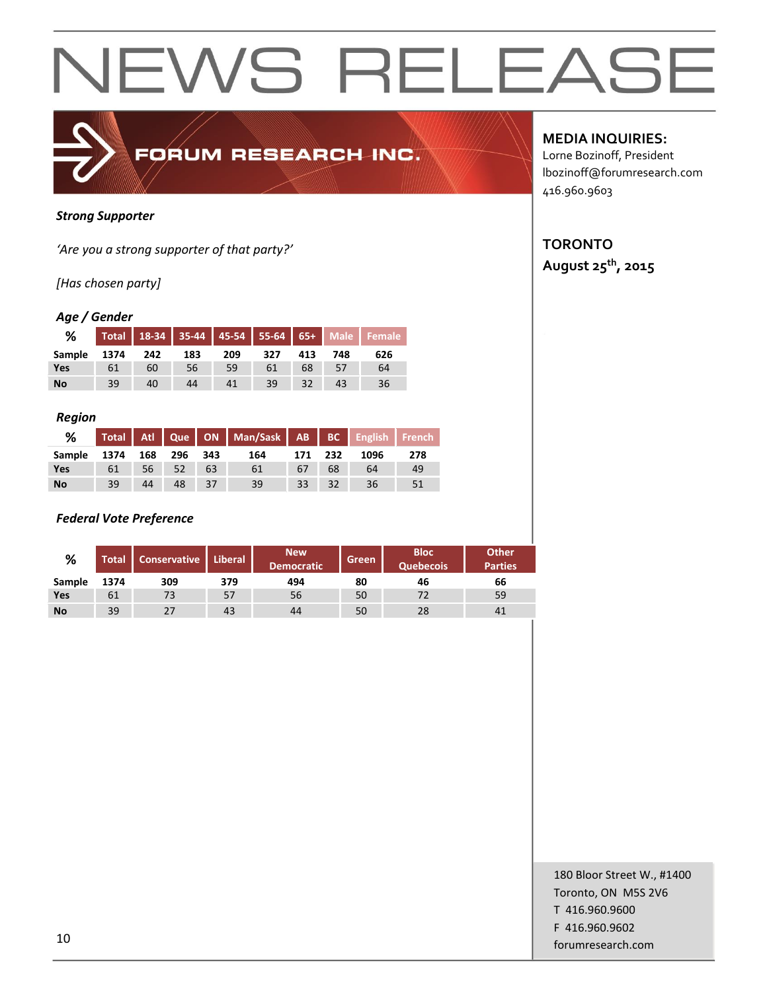

#### *Strong Supporter*

*'Are you a strong supporter of that party?'*

*[Has chosen party]*

#### *Age / Gender*

| %             |      |     |     |     |     |     |     | Total 18-34 35-44 45-54 55-64 65+ Male Female |
|---------------|------|-----|-----|-----|-----|-----|-----|-----------------------------------------------|
| <b>Sample</b> | 1374 | 242 | 183 | 209 | 327 | 413 | 748 | 626                                           |
| Yes           | 61   | 60  | 56  | 59  | 61  | 68  |     | 64                                            |
| <b>No</b>     | 39   | 40  | 44  | 41  | 39  | 32  |     | 36                                            |

#### *Region*

| %                       |    |    |          | Total Atl Que ON Man/Sask AB BC English French |                 |         |      |     |
|-------------------------|----|----|----------|------------------------------------------------|-----------------|---------|------|-----|
| Sample 1374 168 296 343 |    |    |          | 164                                            | 171 232         |         | 1096 | 278 |
| Yes                     | 61 |    | 56 52 63 | 61                                             | 67              | 68      | 64   | 49  |
| <b>No</b>               | 39 | 44 | 48 37    | 39                                             | 33 <sup>1</sup> | $-132-$ | 36   | -51 |

#### *Federal Vote Preference*

| %         | <b>Total</b> | <b>Conservative</b> | Liberal | <b>New</b><br><b>Democratic</b> | Green | <b>Bloc</b><br><b>Quebecois</b> | <b>Other</b><br><b>Parties</b> |
|-----------|--------------|---------------------|---------|---------------------------------|-------|---------------------------------|--------------------------------|
| Sample    | 1374         | 309                 | 379     | 494                             | 80    | 46                              | 66                             |
| Yes       | 61           | 73                  | 57      | 56                              | 50    | 72                              | 59                             |
| <b>No</b> | 39           | 27                  | 43      | 44                              | 50    | 28                              | 41                             |

#### **MEDIA INQUIRIES:**

Lorne Bozinoff, President lbozinoff@forumresearch.com 416.960.9603

### **TORONTO**

**August 25th, 2015**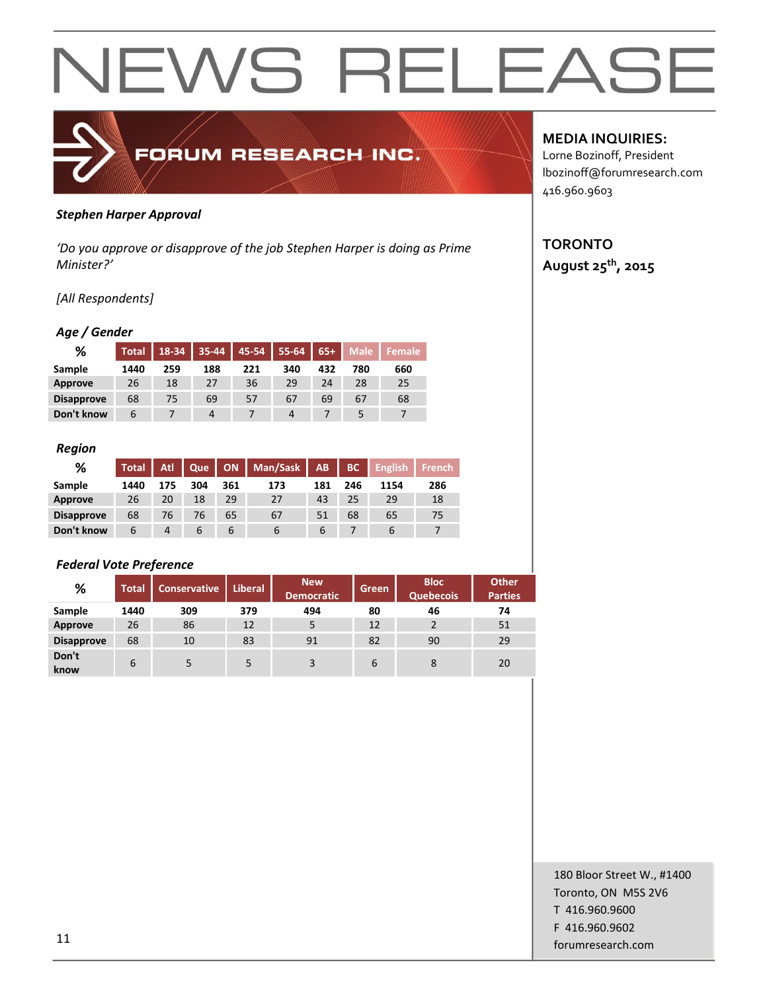

#### *Stephen Harper Approval*

*'Do you approve or disapprove of the job Stephen Harper is doing as Prime Minister?'*

#### *[All Respondents]*

#### *Age / Gender*

| ℅                 | <b>Total</b> | 18-34 |     | $35-44$ 45-54 | $55-64$ | $65+$ | <b>Male</b> | Female |
|-------------------|--------------|-------|-----|---------------|---------|-------|-------------|--------|
| Sample            | 1440         | 259   | 188 | 221           | 340     | 432   | 780         | 660    |
| <b>Approve</b>    | 26           | 18    | 27  | 36            | 29      | 24    | 28          | 25     |
| <b>Disapprove</b> | 68           | 75    | 69  | 57            | 67      | 69    | 67          | 68     |
| Don't know        | b            |       | 4   |               | 4       |       |             |        |

#### *Region*

| %                 | <b>Total</b> | <b>Atl</b> | Que |     | ON   Man/Sask   AB |             | BC  | <b>English</b> | <b>French</b> |
|-------------------|--------------|------------|-----|-----|--------------------|-------------|-----|----------------|---------------|
| Sample            | 1440         | 175        | 304 | 361 | 173                | 181         | 246 | 1154           | 286           |
| Approve           | 26           | 20         | 18  | 29  | 27                 | 43          | 25  | 29             | 18            |
| <b>Disapprove</b> | 68           | 76         | 76  | 65  | 67                 | 51          | 68  | 65             | 75            |
| Don't know        | 6            | 4          |     | b   |                    | $\mathbf b$ |     |                |               |

#### *Federal Vote Preference*

| %                 | <b>Total</b> | <b>Conservative</b> | <b>Liberal</b> | <b>New</b><br><b>Democratic</b> | Green | <b>Bloc</b><br><b>Quebecois</b> | <b>Other</b><br><b>Parties</b> |
|-------------------|--------------|---------------------|----------------|---------------------------------|-------|---------------------------------|--------------------------------|
| Sample            | 1440         | 309                 | 379            | 494                             | 80    | 46                              | 74                             |
| <b>Approve</b>    | 26           | 86                  | 12             | 5                               | 12    |                                 | 51                             |
| <b>Disapprove</b> | 68           | 10                  | 83             | 91                              | 82    | 90                              | 29                             |
| Don't<br>know     | 6            | 5                   | 5              | 3                               | 6     | 8                               | 20                             |

#### **MEDIA INQUIRIES:**

Lorne Bozinoff, President lbozinoff@forumresearch.com 416.960.9603

#### **TORONTO August 25th, 2015**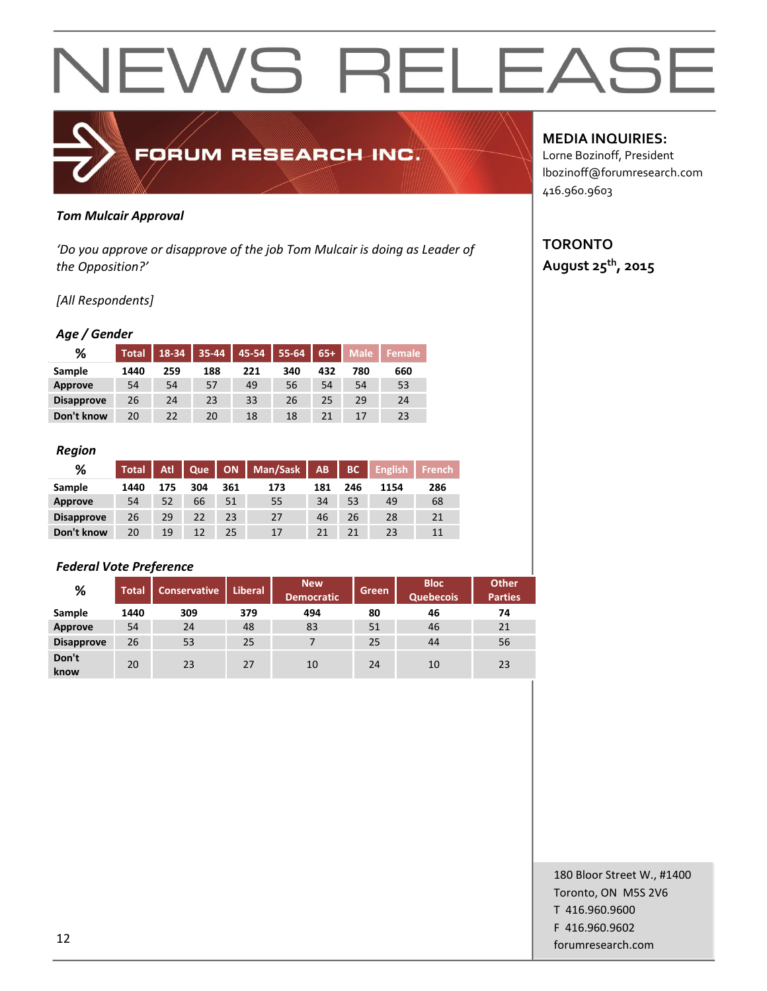

#### *Tom Mulcair Approval*

*'Do you approve or disapprove of the job Tom Mulcair is doing as Leader of the Opposition?'*

#### *[All Respondents]*

#### *Age / Gender*

| %                 | <b>Total</b> | 18-34 | $35 - 44$ | $45 - 54$ | $55-64$ | $65+$ | <b>Male</b> | Female |
|-------------------|--------------|-------|-----------|-----------|---------|-------|-------------|--------|
| Sample            | 1440         | 259   | 188       | 221       | 340     | 432   | 780         | 660    |
| Approve           | 54           | 54    | 57        | 49        | 56      | 54    | 54          | 53     |
| <b>Disapprove</b> | 26           | 24    | 23        | 33        | 26      | 25    | 29          | 24     |
| Don't know        | 20           | 22    | 20        | 18        | 18      |       |             | 23     |

#### *Region*

| %                 | <b>Total</b> | Atl | Que | <b>ON</b> | Man/Sask | AB  | BC  | <b>English</b> | <b>French</b> |
|-------------------|--------------|-----|-----|-----------|----------|-----|-----|----------------|---------------|
| Sample            | 1440         | 175 | 304 | 361       | 173      | 181 | 246 | 1154           | 286           |
| Approve           | 54           | 52  | 66  | 51        | 55       | 34  | 53  | 49             | 68            |
| <b>Disapprove</b> | 26           | 29  | 22  | 23        | 27       | 46  | 26  | 28             | 21            |
| Don't know        | 20           | 19  | 12  | 25        | 17       |     | 21  | 23             | 11            |

#### *Federal Vote Preference*

| %                 | <b>Total</b> | <b>Conservative</b> | <b>Liberal</b> | <b>New</b><br><b>Democratic</b> | Green | <b>Bloc</b><br><b>Quebecois</b> | <b>Other</b><br><b>Parties</b> |
|-------------------|--------------|---------------------|----------------|---------------------------------|-------|---------------------------------|--------------------------------|
| Sample            | 1440         | 309                 | 379            | 494                             | 80    | 46                              | 74                             |
| <b>Approve</b>    | 54           | 24                  | 48             | 83                              | 51    | 46                              | 21                             |
| <b>Disapprove</b> | 26           | 53                  | 25             | 7                               | 25    | 44                              | 56                             |
| Don't<br>know     | 20           | 23                  | 27             | 10                              | 24    | 10                              | 23                             |

#### **MEDIA INQUIRIES:**

Lorne Bozinoff, President lbozinoff@forumresearch.com 416.960.9603

#### **TORONTO August 25th, 2015**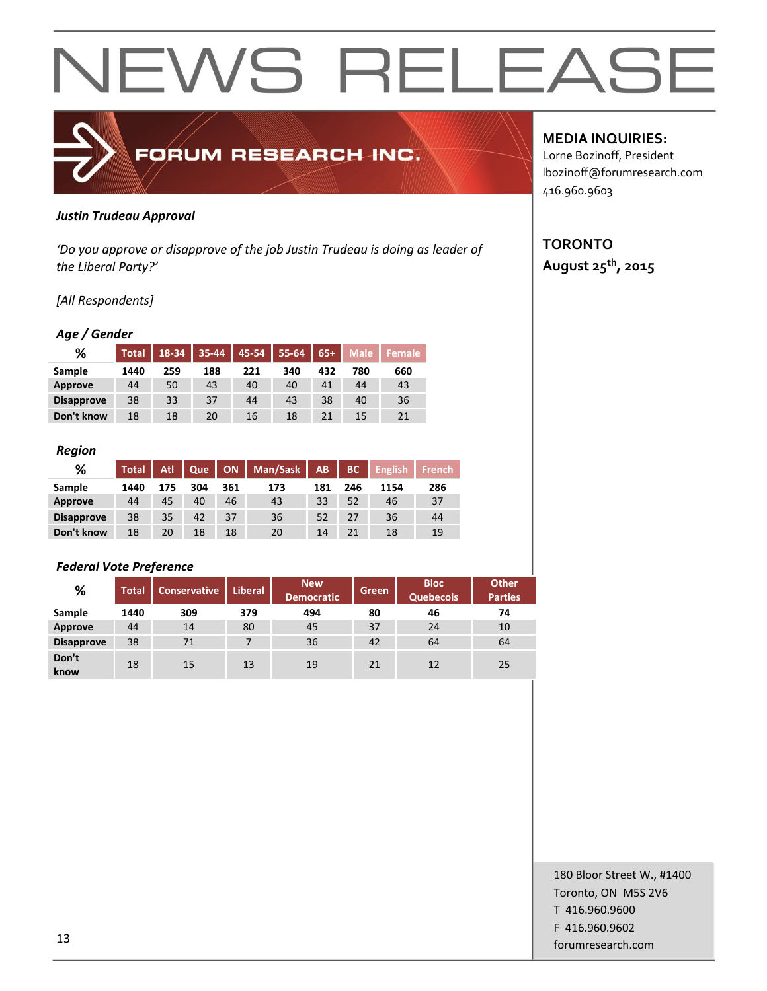

#### *Justin Trudeau Approval*

*'Do you approve or disapprove of the job Justin Trudeau is doing as leader of the Liberal Party?'*

#### *[All Respondents]*

#### *Age / Gender*

| %                 | <b>Total</b> | 18-34 | $35 - 44$ | $45 - 54$ | 55-64 | $65+$ | <b>Male</b> | Female |
|-------------------|--------------|-------|-----------|-----------|-------|-------|-------------|--------|
| Sample            | 1440         | 259   | 188       | 221       | 340   | 432   | 780         | 660    |
| Approve           | 44           | 50    | 43        | 40        | 40    | 41    | 44          | 43     |
| <b>Disapprove</b> | 38           | 33    | 37        | 44        | 43    | 38    | 40          | 36     |
| Don't know        | 18           | 18    | 20        | 16        | 18    |       | 15          | 21     |

#### *Region*

| %                 | <b>Total</b> | Atl | Que |     | ON   Man/Sask | AB. | BC  | <b>English</b> | <b>French</b> |
|-------------------|--------------|-----|-----|-----|---------------|-----|-----|----------------|---------------|
| Sample            | 1440         | 175 | 304 | 361 | 173           | 181 | 246 | 1154           | 286           |
| Approve           | 44           | 45  | 40  | 46  | 43            | 33  | 52  | 46             | 37            |
| <b>Disapprove</b> | 38           | 35  | 42  | 37  | 36            | 52  | 27  | 36             | 44            |
| Don't know        | 18           | 20  | 18  | 18  | 20            | 14  | 21  | 18             | 19            |

#### *Federal Vote Preference*

| %                 | <b>Total</b> | <b>Conservative</b> | <b>Liberal</b> | <b>New</b><br><b>Democratic</b> | Green | <b>Bloc</b><br><b>Quebecois</b> | <b>Other</b><br><b>Parties</b> |
|-------------------|--------------|---------------------|----------------|---------------------------------|-------|---------------------------------|--------------------------------|
| Sample            | 1440         | 309                 | 379            | 494                             | 80    | 46                              | 74                             |
| <b>Approve</b>    | 44           | 14                  | 80             | 45                              | 37    | 24                              | 10                             |
| <b>Disapprove</b> | 38           | 71                  | 7              | 36                              | 42    | 64                              | 64                             |
| Don't<br>know     | 18           | 15                  | 13             | 19                              | 21    | 12                              | 25                             |

#### **MEDIA INQUIRIES:**

Lorne Bozinoff, President lbozinoff@forumresearch.com 416.960.9603

#### **TORONTO August 25th, 2015**

180 Bloor Street W., #1400 Toronto, ON M5S 2V6 T 416.960.9600 F 416.960.9602 forumresearch.com and the set of the set of the set of the set of the set of the set of the set of the set of the set of the set of the set of the set of the set of the set of the set of the set of the set of the set of th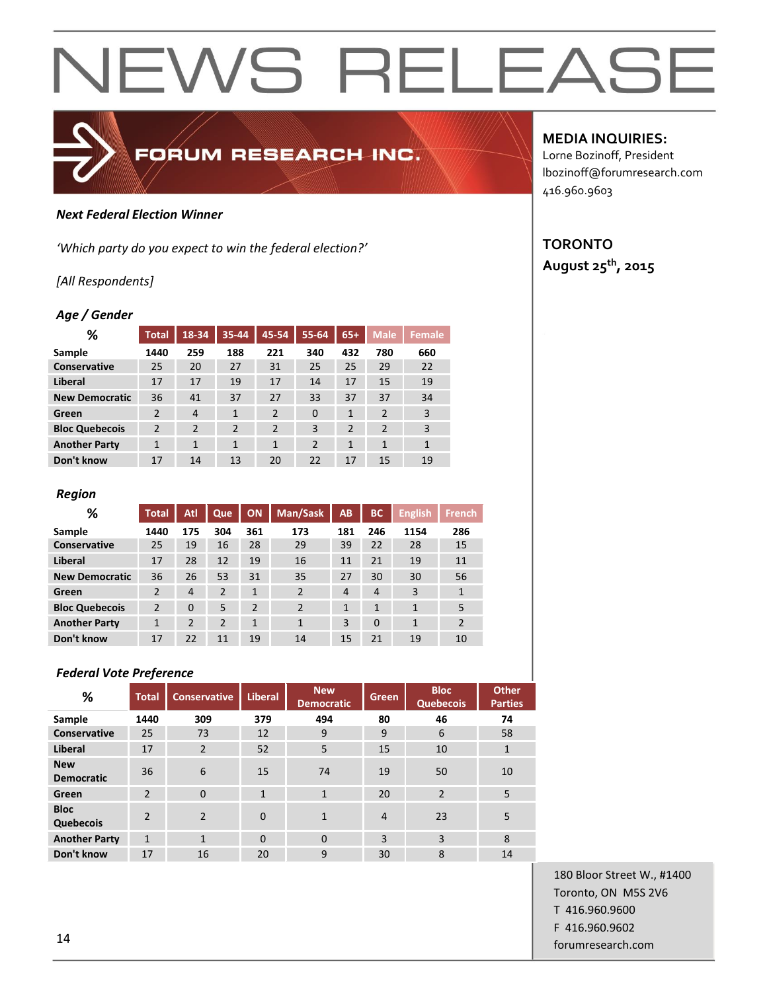#### *Next Federal Election Winner*

*'Which party do you expect to win the federal election?'*

#### *[All Respondents]*

#### *Age / Gender*

| ℅                     | <b>Total</b>   | 18-34          | 35-44          | 45-54          | 55-64          | $65+$          | <b>Male</b>    | <b>Female</b> |
|-----------------------|----------------|----------------|----------------|----------------|----------------|----------------|----------------|---------------|
| Sample                | 1440           | 259            | 188            | 221            | 340            | 432            | 780            | 660           |
| Conservative          | 25             | 20             | 27             | 31             | 25             | 25             | 29             | 22            |
| Liberal               | 17             | 17             | 19             | 17             | 14             | 17             | 15             | 19            |
| <b>New Democratic</b> | 36             | 41             | 37             | 27             | 33             | 37             | 37             | 34            |
| Green                 | $\overline{2}$ | $\overline{4}$ | 1              | $\overline{2}$ | $\Omega$       | 1              | $\overline{2}$ | 3             |
| <b>Bloc Quebecois</b> | $\overline{2}$ | $\overline{2}$ | $\overline{2}$ | $\overline{2}$ | 3              | $\overline{2}$ | $\overline{2}$ | 3             |
| <b>Another Party</b>  | $\mathbf{1}$   | 1              | 1              | $\mathbf{1}$   | $\overline{2}$ | 1              | $\mathbf{1}$   | $\mathbf{1}$  |
| Don't know            | 17             | 14             | 13             | 20             | 22             | 17             | 15             | 19            |

FORUM RESEARCH INC.

#### *Region*

| %                     | Total          | Atl            | Que            | <b>ON</b>    | Man/Sask       | AB             | <b>BC</b>      | <b>English</b> | <b>French</b>  |
|-----------------------|----------------|----------------|----------------|--------------|----------------|----------------|----------------|----------------|----------------|
| Sample                | 1440           | 175            | 304            | 361          | 173            | 181            | 246            | 1154           | 286            |
| <b>Conservative</b>   | 25             | 19             | 16             | 28           | 29             | 39             | 22             | 28             | 15             |
| Liberal               | 17             | 28             | 12             | 19           | 16             | 11             | 21             | 19             | 11             |
| <b>New Democratic</b> | 36             | 26             | 53             | 31           | 35             | 27             | 30             | 30             | 56             |
| Green                 | $\overline{2}$ | $\overline{4}$ | $\overline{2}$ | $\mathbf{1}$ | $\overline{2}$ | $\overline{4}$ | $\overline{4}$ | 3              | $\mathbf{1}$   |
| <b>Bloc Quebecois</b> | $\overline{2}$ | $\Omega$       | 5              | 2            | 2              | 1              | 1              | 1              | 5              |
| <b>Another Party</b>  | 1              | 2              | $\overline{2}$ | $\mathbf{1}$ | $\mathbf{1}$   | 3              | $\Omega$       | $\overline{1}$ | $\overline{2}$ |
| Don't know            | 17             | 22             | 11             | 19           | 14             | 15             | 21             | 19             | 10             |

#### *Federal Vote Preference*

| %                               | <b>Total</b>   | <b>Conservative</b> | <b>Liberal</b> | <b>New</b><br><b>Democratic</b> | Green          | <b>Bloc</b><br><b>Quebecois</b> | <b>Other</b><br><b>Parties</b> |
|---------------------------------|----------------|---------------------|----------------|---------------------------------|----------------|---------------------------------|--------------------------------|
| Sample                          | 1440           | 309                 | 379            | 494                             | 80             | 46                              | 74                             |
| Conservative                    | 25             | 73                  | 12             | 9                               | 9              | 6                               | 58                             |
| Liberal                         | 17             | 2                   | 52             | 5                               | 15             | 10                              | $\mathbf{1}$                   |
| <b>New</b><br><b>Democratic</b> | 36             | 6                   | 15             | 74                              | 19             | 50                              | 10                             |
| Green                           | $\overline{2}$ | $\Omega$            | $\mathbf{1}$   | $\mathbf{1}$                    | 20             | $\overline{2}$                  | 5                              |
| <b>Bloc</b><br><b>Quebecois</b> | $\overline{2}$ | $\mathfrak{p}$      | $\mathbf 0$    | $\mathbf{1}$                    | $\overline{4}$ | 23                              | 5                              |
| <b>Another Party</b>            | 1              | $\mathbf{1}$        | $\Omega$       | $\Omega$                        | 3              | 3                               | 8                              |
| Don't know                      | 17             | 16                  | 20             | 9                               | 30             | 8                               | 14                             |

#### **MEDIA INQUIRIES:**

Lorne Bozinoff, President lbozinoff@forumresearch.com 416.960.9603

#### **TORONTO August 25th, 2015**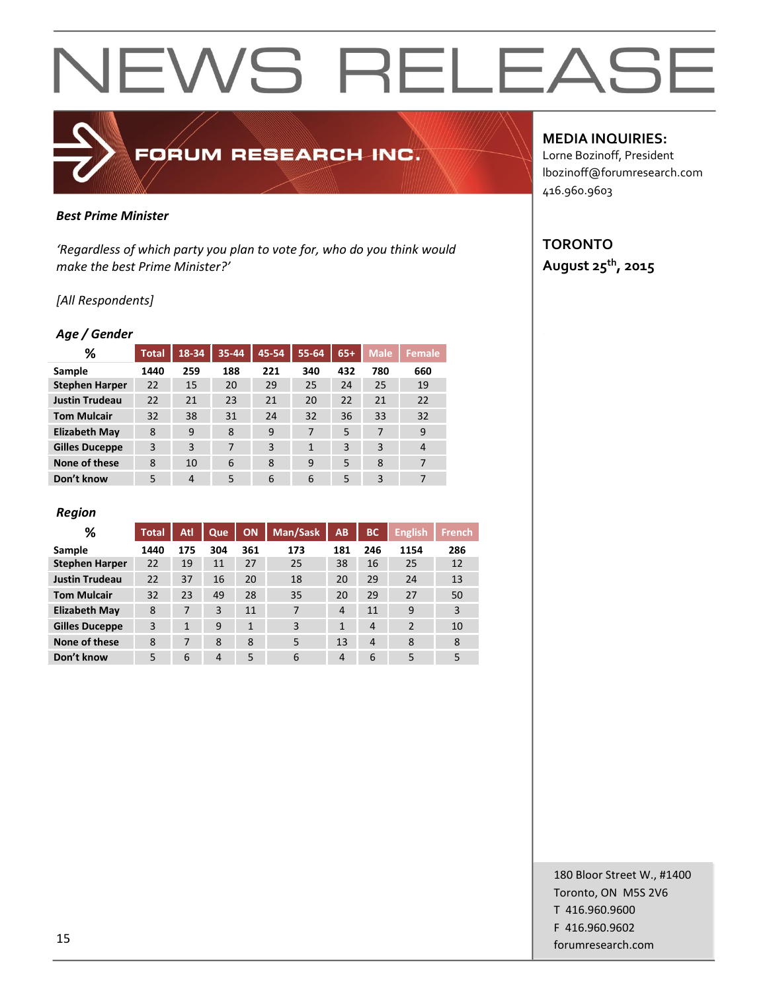### FORUM RESEARCH INC.

#### *Best Prime Minister*

*'Regardless of which party you plan to vote for, who do you think would make the best Prime Minister?'*

#### *[All Respondents]*

#### *Age / Gender*

| ℅                     | <b>Total</b> | 18-34 | 35-44 | 45-54 | 55-64        | $65+$ | <b>Male</b> | Female         |
|-----------------------|--------------|-------|-------|-------|--------------|-------|-------------|----------------|
| Sample                | 1440         | 259   | 188   | 221   | 340          | 432   | 780         | 660            |
| <b>Stephen Harper</b> | 22           | 15    | 20    | 29    | 25           | 24    | 25          | 19             |
| <b>Justin Trudeau</b> | 22           | 21    | 23    | 21    | 20           | 22    | 21          | 22             |
| <b>Tom Mulcair</b>    | 32           | 38    | 31    | 24    | 32           | 36    | 33          | 32             |
| <b>Elizabeth May</b>  | 8            | 9     | 8     | 9     | 7            | 5     | 7           | 9              |
| <b>Gilles Duceppe</b> | 3            | 3     | 7     | 3     | $\mathbf{1}$ | 3     | 3           | $\overline{4}$ |
| None of these         | 8            | 10    | 6     | 8     | 9            | 5     | 8           | 7              |
| Don't know            | 5            | 4     | 5     | 6     | 6            | 5     | 3           | 7              |

#### *Region*

| %                     | <b>Total</b> | Atl          | Que            | <b>ON</b>    | Man/Sask | AB             | <b>BC</b>      | <b>English</b> | <b>French</b> |
|-----------------------|--------------|--------------|----------------|--------------|----------|----------------|----------------|----------------|---------------|
| Sample                | 1440         | 175          | 304            | 361          | 173      | 181            | 246            | 1154           | 286           |
| <b>Stephen Harper</b> | 22           | 19           | 11             | 27           | 25       | 38             | 16             | 25             | 12            |
| <b>Justin Trudeau</b> | 22           | 37           | 16             | 20           | 18       | 20             | 29             | 24             | 13            |
| <b>Tom Mulcair</b>    | 32           | 23           | 49             | 28           | 35       | 20             | 29             | 27             | 50            |
| <b>Elizabeth May</b>  | 8            | 7            | 3              | 11           | 7        | $\overline{4}$ | 11             | 9              | 3             |
| <b>Gilles Duceppe</b> | 3            | $\mathbf{1}$ | 9              | $\mathbf{1}$ | 3        | 1              | $\overline{4}$ | $\overline{2}$ | 10            |
| None of these         | 8            | 7            | 8              | 8            | 5        | 13             | $\overline{4}$ | 8              | 8             |
| Don't know            | 5            | 6            | $\overline{4}$ | 5            | 6        | 4              | 6              | 5              | 5             |

#### **MEDIA INQUIRIES:**

Lorne Bozinoff, President lbozinoff@forumresearch.com 416.960.9603

#### **TORONTO August 25th, 2015**

180 Bloor Street W., #1400 Toronto, ON M5S 2V6 T 416.960.9600 F 416.960.9602 forumresearch.com and the set of the set of the set of the set of the set of the set of the set of the set of the set of the set of the set of the set of the set of the set of the set of the set of the set of the set of th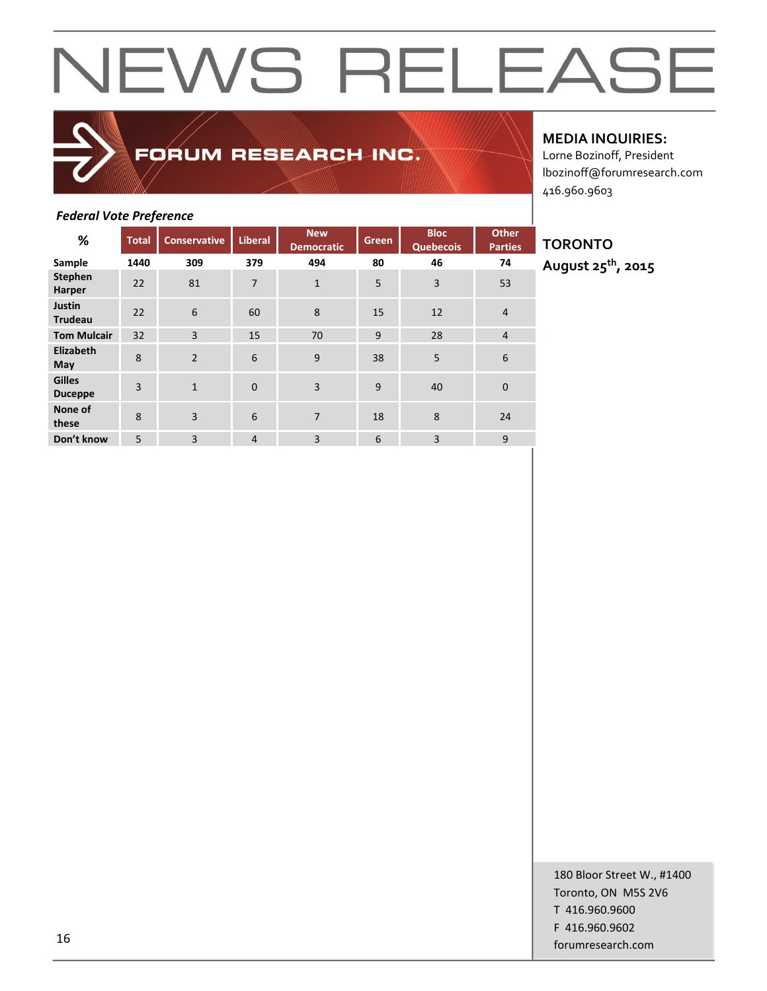### FORUM RESEARCH INC.

#### **MEDIA INQUIRIES:**

Lorne Bozinoff, President lbozinoff@forumresearch.com 416.960.9603

#### *Federal Vote Preference*

| %                               | <b>Total</b>   | <b>Conservative</b> | <b>Liberal</b> | <b>New</b><br><b>Democratic</b> | Green | <b>Bloc</b><br><b>Quebecois</b> | <b>Other</b><br><b>Parties</b> |
|---------------------------------|----------------|---------------------|----------------|---------------------------------|-------|---------------------------------|--------------------------------|
| Sample                          | 1440           | 309                 | 379            | 494                             | 80    | 46                              | 74                             |
| <b>Stephen</b><br>Harper        | 22             | 81                  | $\overline{7}$ | $\mathbf{1}$                    | 5     | $\overline{3}$                  | 53                             |
| Justin<br><b>Trudeau</b>        | 22             | 6                   | 60             | 8                               | 15    | 12                              | $\overline{4}$                 |
| <b>Tom Mulcair</b>              | 32             | 3                   | 15             | 70                              | 9     | 28                              | $\overline{4}$                 |
| Elizabeth<br>May                | 8              | $\overline{2}$      | 6              | 9                               | 38    | 5                               | 6                              |
| <b>Gilles</b><br><b>Duceppe</b> | $\overline{3}$ | $\mathbf{1}$        | $\mathbf 0$    | $\overline{3}$                  | 9     | 40                              | $\mathbf 0$                    |
| None of<br>these                | 8              | $\overline{3}$      | 6              | $\overline{7}$                  | 18    | 8                               | 24                             |
| Don't know                      | 5              | 3                   | 4              | 3                               | 6     | $\overline{3}$                  | 9                              |

### **TORONTO**

**August 25th, 2015**

180 Bloor Street W., #1400 Toronto, ON M5S 2V6 T 416.960.9600 F 416.960.9602 forumresearch.com and the set of the set of the set of the set of the set of the set of the set of the set of the set of the set of the set of the set of the set of the set of the set of the set of the set of the set of th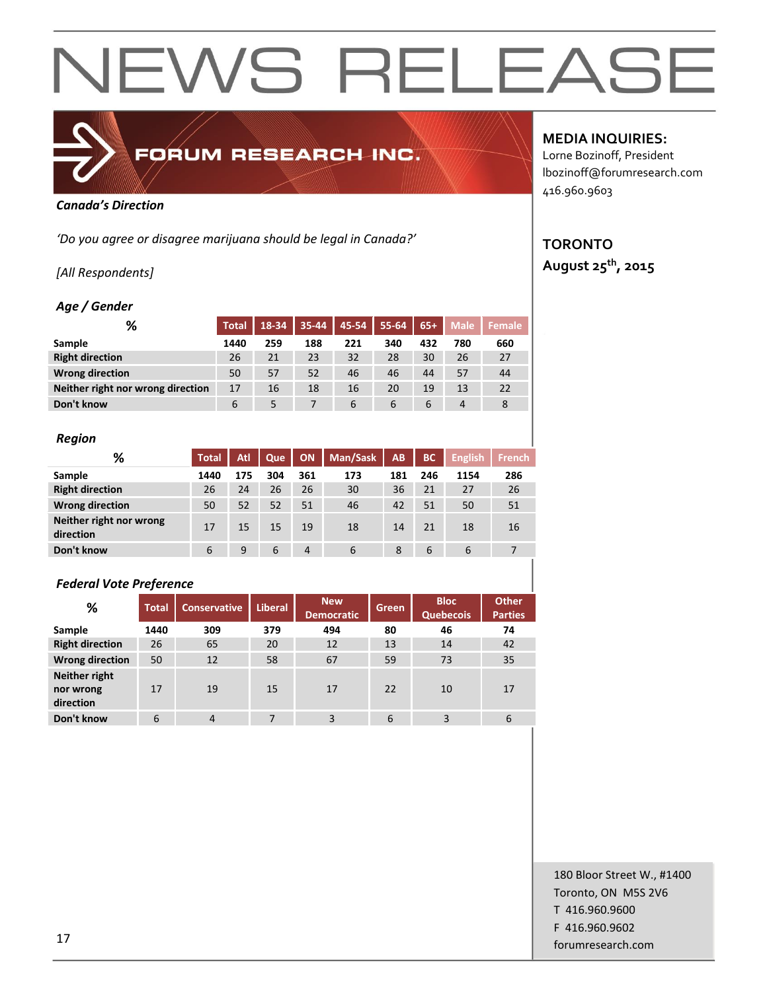

### FORUM RESEARCH INC.

#### *Canada's Direction*

*'Do you agree or disagree marijuana should be legal in Canada?'*

#### *[All Respondents]*

#### *Age / Gender*

| %                                 | <b>Total</b> | 18-34 | $35 - 44$ | 45-54 | 55-64 | $65+$ | <b>Male</b> | Female |
|-----------------------------------|--------------|-------|-----------|-------|-------|-------|-------------|--------|
| Sample                            | 1440         | 259   | 188       | 221   | 340   | 432   | 780         | 660    |
| <b>Right direction</b>            | 26           | 21    | 23        | 32    | 28    | 30    | 26          | 27     |
| <b>Wrong direction</b>            | 50           | 57    | 52        | 46    | 46    | 44    | 57          | 44     |
| Neither right nor wrong direction | 17           | 16    | 18        | 16    | 20    | 19    | 13          | 22     |
| Don't know                        | 6            | 5     |           | 6     | 6     | 6     | 4           |        |

#### *Region*

| %                                    | Total | Atl | Que | <b>ON</b> | <b>Man/Sask</b> | <b>AB</b> | <b>BC</b> | <b>English</b> | <b>French</b> |
|--------------------------------------|-------|-----|-----|-----------|-----------------|-----------|-----------|----------------|---------------|
| Sample                               | 1440  | 175 | 304 | 361       | 173             | 181       | 246       | 1154           | 286           |
| <b>Right direction</b>               | 26    | 24  | 26  | 26        | 30              | 36        | 21        | 27             | 26            |
| <b>Wrong direction</b>               | 50    | 52  | 52  | 51        | 46              | 42        | 51        | 50             | 51            |
| Neither right nor wrong<br>direction | 17    | 15  | 15  | 19        | 18              | 14        | 21        | 18             | 16            |
| Don't know                           | 6     | 9   | 6   | 4         | 6               | 8         | 6         | 6              |               |

#### *Federal Vote Preference*

| %                                       | <b>Total</b> | <b>Conservative</b> | <b>Liberal</b> | <b>New</b><br><b>Democratic</b> | Green | <b>Bloc</b><br><b>Quebecois</b> | <b>Other</b><br><b>Parties</b> |  |
|-----------------------------------------|--------------|---------------------|----------------|---------------------------------|-------|---------------------------------|--------------------------------|--|
| Sample                                  | 1440         | 309                 | 379            | 494                             | 80    | 46                              | 74                             |  |
| <b>Right direction</b>                  | 26           | 65                  | 20             | 12                              | 13    | 14                              | 42                             |  |
| <b>Wrong direction</b>                  | 50           | 12                  | 58             | 67                              | 59    | 73                              | 35                             |  |
| Neither right<br>nor wrong<br>direction | 17           | 19                  | 15             | 17                              | 22    | 10                              | 17                             |  |
| Don't know                              | 6            | $\overline{4}$      | 7              | 3                               | 6     | 3                               | 6                              |  |

#### **MEDIA INQUIRIES:**

Lorne Bozinoff, President lbozinoff@forumresearch.com 416.960.9603

### **TORONTO**

**August 25th, 2015**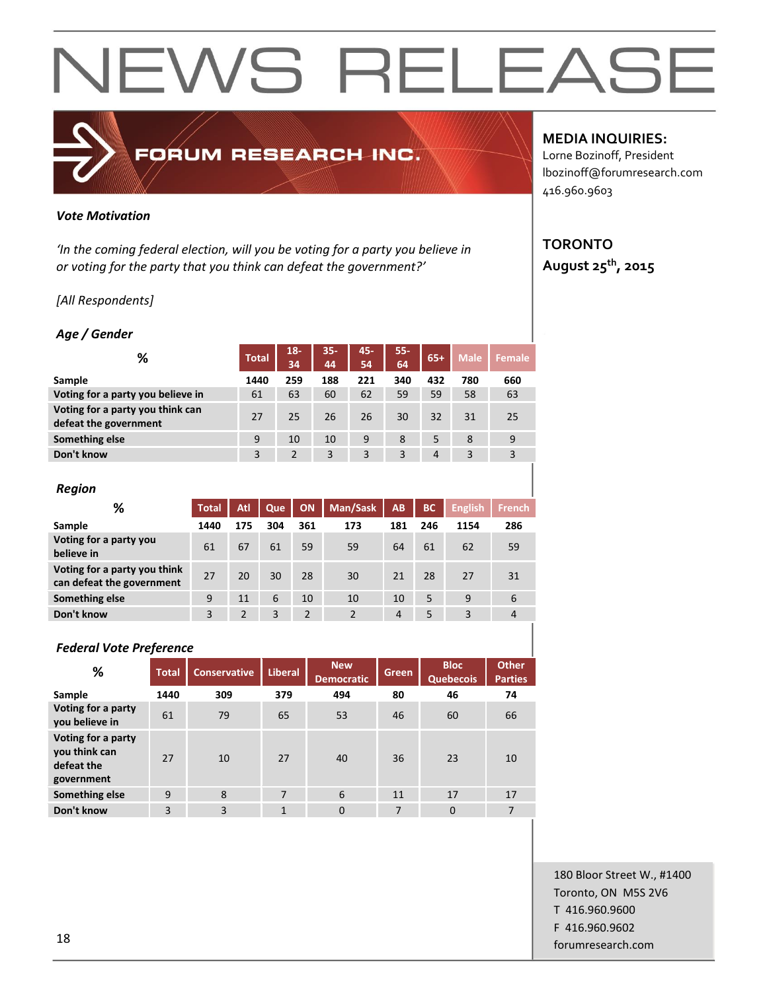### FORUM RESEARCH INC.

#### *Vote Motivation*

*'In the coming federal election, will you be voting for a party you believe in or voting for the party that you think can defeat the government?'*

#### *[All Respondents]*

#### *Age / Gender*

| ℅                                                         | <b>Total</b> | $18 -$<br>34   | $35 -$<br>44 | 45-<br>54 | $55 -$<br>64 | $65+$          | <b>Male</b> | Female |
|-----------------------------------------------------------|--------------|----------------|--------------|-----------|--------------|----------------|-------------|--------|
| Sample                                                    | 1440         | 259            | 188          | 221       | 340          | 432            | 780         | 660    |
| Voting for a party you believe in                         | 61           | 63             | 60           | 62        | 59           | 59             | 58          | 63     |
| Voting for a party you think can<br>defeat the government | 27           | 25             | 26           | 26        | 30           | 32             | 31          | 25     |
| Something else                                            | 9            | 10             | 10           | 9         | 8            | 5              | 8           | 9      |
| Don't know                                                | 3            | $\overline{2}$ | 3            | 3         | 3            | $\overline{4}$ | 3           | 3      |
|                                                           |              |                |              |           |              |                |             |        |

| <b>Region</b>                                             |              |     |     |     |          |                |           |                |                |
|-----------------------------------------------------------|--------------|-----|-----|-----|----------|----------------|-----------|----------------|----------------|
| %                                                         | <b>Total</b> | Atl | Que | ON  | Man/Sask | AB             | <b>BC</b> | <b>English</b> | <b>French</b>  |
| Sample                                                    | 1440         | 175 | 304 | 361 | 173      | 181            | 246       | 1154           | 286            |
| Voting for a party you<br>believe in                      | 61           | 67  | 61  | 59  | 59       | 64             | 61        | 62             | 59             |
| Voting for a party you think<br>can defeat the government | 27           | 20  | 30  | 28  | 30       | 21             | 28        | 27             | 31             |
| Something else                                            | 9            | 11  | 6   | 10  | 10       | 10             | 5         | 9              | 6              |
| Don't know                                                | 3            | 2   | 3   | 2   | 2        | $\overline{4}$ | 5         | 3              | $\overline{4}$ |

#### *Federal Vote Preference*

| %                                                               | <b>Total</b> | <b>Conservative</b> | Liberal | <b>New</b><br><b>Democratic</b> | <b>Green</b> | <b>Bloc</b><br><b>Quebecois</b> | <b>Other</b><br><b>Parties</b> |
|-----------------------------------------------------------------|--------------|---------------------|---------|---------------------------------|--------------|---------------------------------|--------------------------------|
| Sample                                                          | 1440         | 309                 | 379     | 494                             | 80           | 46                              | 74                             |
| Voting for a party<br>you believe in                            | 61           | 79                  | 65      | 53                              | 46           | 60                              | 66                             |
| Voting for a party<br>you think can<br>defeat the<br>government | 27           | 10                  | 27      | 40                              | 36           | 23                              | 10                             |
| Something else                                                  | 9            | 8                   | 7       | 6                               | 11           | 17                              | 17                             |
| Don't know                                                      | 3            | 3                   | 1       | $\Omega$                        | 7            | $\mathbf 0$                     | 7                              |

#### **MEDIA INQUIRIES:**

Lorne Bozinoff, President lbozinoff@forumresearch.com 416.960.9603

#### **TORONTO August 25th, 2015**

180 Bloor Street W., #1400 Toronto, ON M5S 2V6 T 416.960.9600 F 416.960.9602 **forumresearch.com** and the set of the set of the set of the set of the set of the set of the set of the set of the set of the set of the set of the set of the set of the set of the set of the set of the set of the set of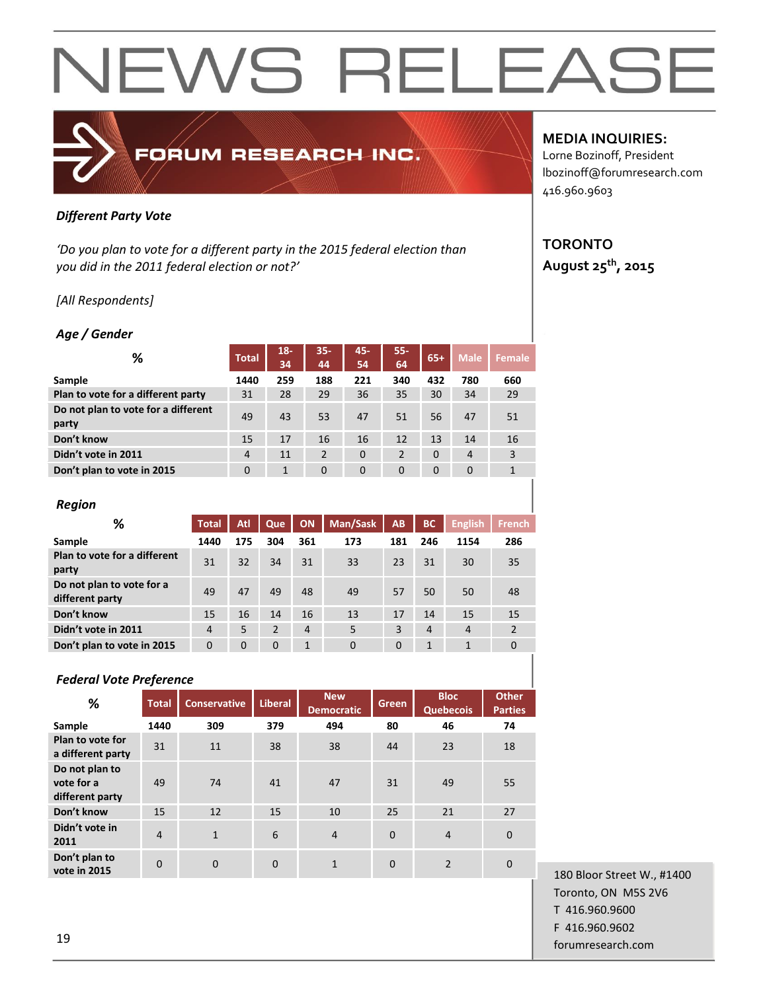### FORUM RESEARCH INC.

#### *Different Party Vote*

*'Do you plan to vote for a different party in the 2015 federal election than you did in the 2011 federal election or not?'*

#### *[All Respondents]*

#### *Age / Gender*

| %                                            | <b>Total</b>   | $18 -$<br>34 | $35 -$<br>44 | 45-<br>54    | $55 -$<br>64 | $65+$       | <b>Male</b>    | Female       |
|----------------------------------------------|----------------|--------------|--------------|--------------|--------------|-------------|----------------|--------------|
| Sample                                       | 1440           | 259          | 188          | 221          | 340          | 432         | 780            | 660          |
| Plan to vote for a different party           | 31             | 28           | 29           | 36           | 35           | 30          | 34             | 29           |
| Do not plan to vote for a different<br>party | 49             | 43           | 53           | 47           | 51           | 56          | 47             | 51           |
| Don't know                                   | 15             | 17           | 16           | 16           | 12           | 13          | 14             | 16           |
| Didn't vote in 2011                          | $\overline{4}$ | 11           | 2            | $\Omega$     | 2            | $\Omega$    | $\overline{4}$ | 3            |
| Don't plan to vote in 2015                   | 0              | 1            | $\mathbf 0$  | $\mathbf{0}$ | $\mathbf 0$  | $\mathbf 0$ | $\mathbf 0$    | $\mathbf{1}$ |

#### *Region*

| %                                            | <b>Total</b>   | Atl         | Que         | ON             | Man/Sask     | AB       | <b>BC</b> | <b>English</b> | <b>French</b>  |
|----------------------------------------------|----------------|-------------|-------------|----------------|--------------|----------|-----------|----------------|----------------|
| Sample                                       | 1440           | 175         | 304         | 361            | 173          | 181      | 246       | 1154           | 286            |
| Plan to vote for a different<br>party        | 31             | 32          | 34          | 31             | 33           | 23       | 31        | 30             | 35             |
| Do not plan to vote for a<br>different party | 49             | 47          | 49          | 48             | 49           | 57       | 50        | 50             | 48             |
| Don't know                                   | 15             | 16          | 14          | 16             | 13           | 17       | 14        | 15             | 15             |
| Didn't vote in 2011                          | $\overline{4}$ | 5           | 2           | $\overline{4}$ | 5            | 3        | 4         | $\overline{4}$ | $\overline{2}$ |
| Don't plan to vote in 2015                   | $\mathbf 0$    | $\mathbf 0$ | $\mathbf 0$ | 1              | $\mathbf{0}$ | $\Omega$ | 1         | $\mathbf{1}$   | $\Omega$       |
|                                              |                |             |             |                |              |          |           |                |                |

#### *Federal Vote Preference*

| %                                               | <b>Total</b>   | <b>Conservative</b> | <b>Liberal</b> | <b>New</b><br><b>Democratic</b> | Green    | <b>Bloc</b><br><b>Quebecois</b> | <b>Other</b><br><b>Parties</b> |
|-------------------------------------------------|----------------|---------------------|----------------|---------------------------------|----------|---------------------------------|--------------------------------|
| Sample                                          | 1440           | 309                 | 379            | 494                             | 80       | 46                              | 74                             |
| Plan to vote for<br>a different party           | 31             | 11                  | 38             | 38                              | 44       | 23                              | 18                             |
| Do not plan to<br>vote for a<br>different party | 49             | 74                  | 41             | 47                              | 31       | 49                              | 55                             |
| Don't know                                      | 15             | 12                  | 15             | 10                              | 25       | 21                              | 27                             |
| Didn't vote in<br>2011                          | $\overline{4}$ | $\mathbf{1}$        | 6              | $\overline{4}$                  | $\Omega$ | $\overline{4}$                  | $\Omega$                       |
| Don't plan to<br>vote in 2015                   | $\Omega$       | $\mathbf 0$         | $\overline{0}$ | $\mathbf{1}$                    | $\Omega$ | $\overline{2}$                  | $\Omega$                       |

#### **MEDIA INQUIRIES:**

Lorne Bozinoff, President lbozinoff@forumresearch.com 416.960.9603

#### **TORONTO August 25th, 2015**

180 Bloor Street W., #1400 Toronto, ON M5S 2V6 T 416.960.9600 F 416.960.9602 for the set of the set of the set of the set of the set of the set of the set of the set of the set of the set of the set of the set of the set of the set of the set of the set of the set of the set of the set of the set o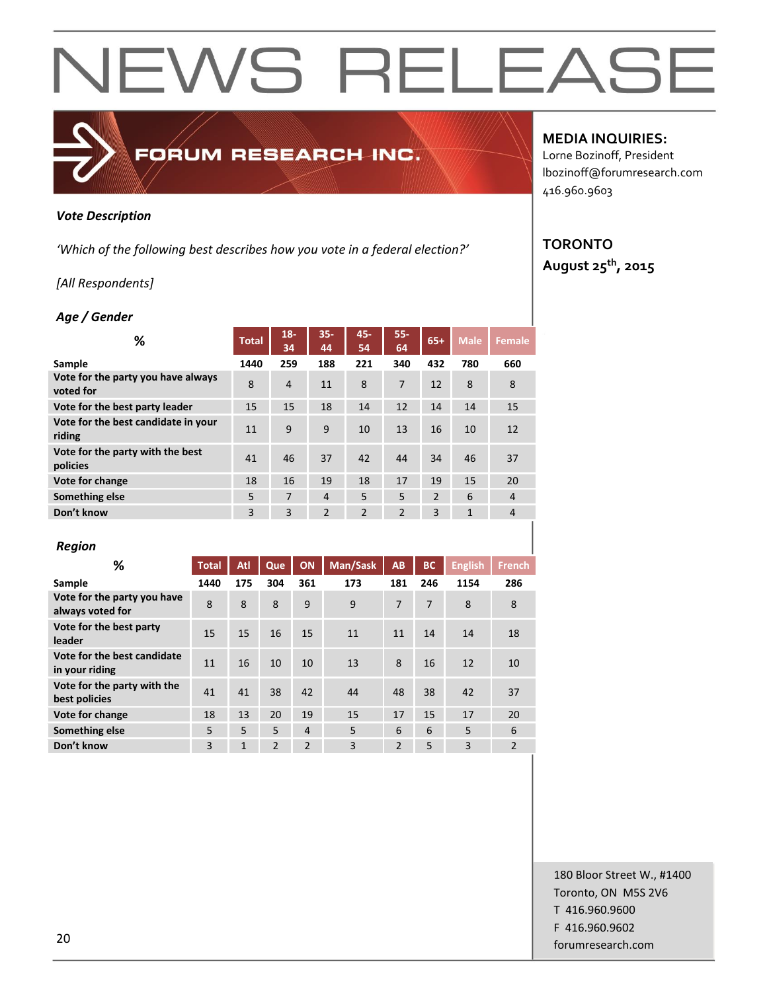#### *Vote Description*

*'Which of the following best describes how you vote in a federal election?'*

FORUM RESEARCH INC.

#### *[All Respondents]*

#### *Age / Gender*

| %                                               | <b>Total</b> | $18 -$<br>34   | $35 -$<br>44   | 45-<br>54      | $55 -$<br>64   | $65+$          | <b>Male</b>  | <b>Female</b>  |
|-------------------------------------------------|--------------|----------------|----------------|----------------|----------------|----------------|--------------|----------------|
| Sample                                          | 1440         | 259            | 188            | 221            | 340            | 432            | 780          | 660            |
| Vote for the party you have always<br>voted for | 8            | $\overline{4}$ | 11             | 8              | 7              | 12             | 8            | 8              |
| Vote for the best party leader                  | 15           | 15             | 18             | 14             | 12             | 14             | 14           | 15             |
| Vote for the best candidate in your<br>riding   | 11           | 9              | 9              | 10             | 13             | 16             | 10           | 12             |
| Vote for the party with the best<br>policies    | 41           | 46             | 37             | 42             | 44             | 34             | 46           | 37             |
| Vote for change                                 | 18           | 16             | 19             | 18             | 17             | 19             | 15           | 20             |
| Something else                                  | 5            | 7              | $\overline{4}$ | 5              | 5              | $\overline{2}$ | 6            | $\overline{4}$ |
| Don't know                                      | 3            | 3              | $\overline{2}$ | $\overline{2}$ | $\overline{2}$ | 3              | $\mathbf{1}$ | $\overline{4}$ |

#### *Region*

| %                                               | <b>Total</b> | Atl          | Que           | ON                       | Man/Sask | AB             | <b>BC</b> | <b>English</b> | <b>French</b>  |
|-------------------------------------------------|--------------|--------------|---------------|--------------------------|----------|----------------|-----------|----------------|----------------|
| Sample                                          | 1440         | 175          | 304           | 361                      | 173      | 181            | 246       | 1154           | 286            |
| Vote for the party you have<br>always voted for | 8            | 8            | 8             | 9                        | 9        | 7              | 7         | 8              | 8              |
| Vote for the best party<br>leader               | 15           | 15           | 16            | 15                       | 11       | 11             | 14        | 14             | 18             |
| Vote for the best candidate<br>in your riding   | 11           | 16           | 10            | 10                       | 13       | 8              | 16        | 12             | 10             |
| Vote for the party with the<br>best policies    | 41           | 41           | 38            | 42                       | 44       | 48             | 38        | 42             | 37             |
| Vote for change                                 | 18           | 13           | 20            | 19                       | 15       | 17             | 15        | 17             | 20             |
| Something else                                  | 5            | 5            | 5             | $\overline{4}$           | 5        | 6              | 6         | 5              | 6              |
| Don't know                                      | 3            | $\mathbf{1}$ | $\mathcal{P}$ | $\overline{\phantom{a}}$ | 3        | $\mathfrak{p}$ | 5         | 3              | $\overline{2}$ |

#### **MEDIA INQUIRIES:**

Lorne Bozinoff, President lbozinoff@forumresearch.com 416.960.9603

### **TORONTO**

**August 25th, 2015**